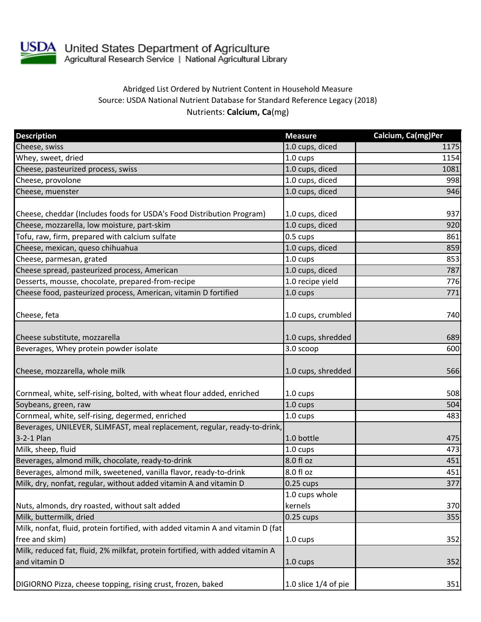

USDA United States Department of Agriculture<br>Agricultural Research Service | National Agricultural Library

## Abridged List Ordered by Nutrient Content in Household Measure Source: USDA National Nutrient Database for Standard Reference Legacy (2018) Nutrients: **Calcium, Ca**(mg)

| <b>Description</b>                                                              | <b>Measure</b>         | Calcium, Ca(mg)Per |
|---------------------------------------------------------------------------------|------------------------|--------------------|
| Cheese, swiss                                                                   | 1.0 cups, diced        | 1175               |
| Whey, sweet, dried                                                              | 1.0 cups               | 1154               |
| Cheese, pasteurized process, swiss                                              | 1.0 cups, diced        | 1081               |
| Cheese, provolone                                                               | 1.0 cups, diced        | 998                |
| Cheese, muenster                                                                | 1.0 cups, diced        | 946                |
| Cheese, cheddar (Includes foods for USDA's Food Distribution Program)           | 1.0 cups, diced        | 937                |
| Cheese, mozzarella, low moisture, part-skim                                     | 1.0 cups, diced        | 920                |
| Tofu, raw, firm, prepared with calcium sulfate                                  | 0.5 cups               | 861                |
| Cheese, mexican, queso chihuahua                                                | 1.0 cups, diced        | 859                |
| Cheese, parmesan, grated                                                        | 1.0 cups               | 853                |
| Cheese spread, pasteurized process, American                                    | 1.0 cups, diced        | 787                |
| Desserts, mousse, chocolate, prepared-from-recipe                               | 1.0 recipe yield       | 776                |
| Cheese food, pasteurized process, American, vitamin D fortified                 | $1.0 \text{ cups}$     | 771                |
| Cheese, feta                                                                    | 1.0 cups, crumbled     | 740                |
| Cheese substitute, mozzarella                                                   | 1.0 cups, shredded     | 689                |
| Beverages, Whey protein powder isolate                                          | 3.0 scoop              | 600                |
| Cheese, mozzarella, whole milk                                                  | 1.0 cups, shredded     | 566                |
| Cornmeal, white, self-rising, bolted, with wheat flour added, enriched          | 1.0 cups               | 508                |
| Soybeans, green, raw                                                            | 1.0 cups               | 504                |
| Cornmeal, white, self-rising, degermed, enriched                                | 1.0 cups               | 483                |
| Beverages, UNILEVER, SLIMFAST, meal replacement, regular, ready-to-drink,       |                        |                    |
| 3-2-1 Plan                                                                      | 1.0 bottle             | 475                |
| Milk, sheep, fluid                                                              | 1.0 cups               | 473                |
| Beverages, almond milk, chocolate, ready-to-drink                               | 8.0 fl oz              | 451                |
| Beverages, almond milk, sweetened, vanilla flavor, ready-to-drink               | 8.0 fl oz              | 451                |
| Milk, dry, nonfat, regular, without added vitamin A and vitamin D               | $0.25 \text{ cups}$    | 377                |
|                                                                                 | 1.0 cups whole         |                    |
| Nuts, almonds, dry roasted, without salt added                                  | kernels                | 370                |
| Milk, buttermilk, dried                                                         | $0.25$ cups            | 355                |
| Milk, nonfat, fluid, protein fortified, with added vitamin A and vitamin D (fat |                        |                    |
| free and skim)                                                                  | $1.0 \text{ cups}$     | 352                |
| Milk, reduced fat, fluid, 2% milkfat, protein fortified, with added vitamin A   |                        |                    |
| and vitamin D                                                                   | $1.0 \text{ cups}$     | 352                |
| DIGIORNO Pizza, cheese topping, rising crust, frozen, baked                     | 1.0 slice $1/4$ of pie | 351                |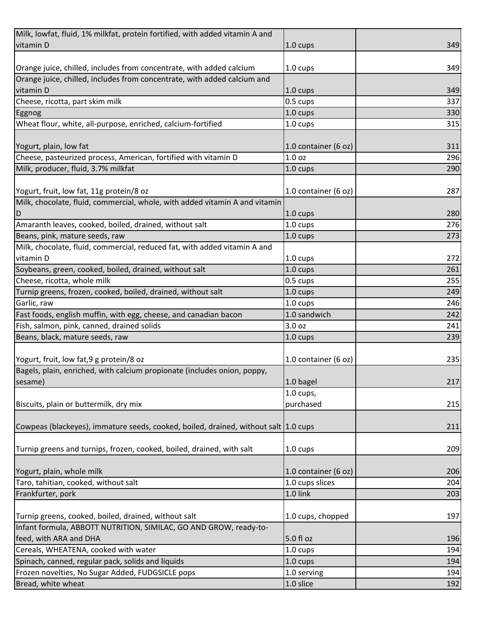| Milk, lowfat, fluid, 1% milkfat, protein fortified, with added vitamin A and          |                      |     |
|---------------------------------------------------------------------------------------|----------------------|-----|
| vitamin D                                                                             | 1.0 cups             | 349 |
|                                                                                       |                      |     |
| Orange juice, chilled, includes from concentrate, with added calcium                  | 1.0 cups             | 349 |
| Orange juice, chilled, includes from concentrate, with added calcium and              |                      |     |
| vitamin D                                                                             | $1.0 \text{ cups}$   | 349 |
| Cheese, ricotta, part skim milk                                                       | 0.5 cups             | 337 |
| Eggnog                                                                                | 1.0 cups             | 330 |
| Wheat flour, white, all-purpose, enriched, calcium-fortified                          | 1.0 cups             | 315 |
|                                                                                       |                      |     |
| Yogurt, plain, low fat                                                                | 1.0 container (6 oz) | 311 |
| Cheese, pasteurized process, American, fortified with vitamin D                       | 1.0 <sub>oz</sub>    | 296 |
| Milk, producer, fluid, 3.7% milkfat                                                   | 1.0 cups             | 290 |
|                                                                                       |                      |     |
| Yogurt, fruit, low fat, 11g protein/8 oz                                              | 1.0 container (6 oz) | 287 |
| Milk, chocolate, fluid, commercial, whole, with added vitamin A and vitamin           |                      |     |
| D                                                                                     | 1.0 cups             | 280 |
| Amaranth leaves, cooked, boiled, drained, without salt                                | 1.0 cups             | 276 |
| Beans, pink, mature seeds, raw                                                        | 1.0 cups             | 273 |
| Milk, chocolate, fluid, commercial, reduced fat, with added vitamin A and             |                      |     |
| vitamin D                                                                             | 1.0 cups             | 272 |
| Soybeans, green, cooked, boiled, drained, without salt                                | 1.0 cups             | 261 |
| Cheese, ricotta, whole milk                                                           | 0.5 cups             | 255 |
| Turnip greens, frozen, cooked, boiled, drained, without salt                          | 1.0 cups             | 249 |
| Garlic, raw                                                                           | 1.0 cups             | 246 |
| Fast foods, english muffin, with egg, cheese, and canadian bacon                      | 1.0 sandwich         | 242 |
| Fish, salmon, pink, canned, drained solids                                            | 3.0 oz               | 241 |
| Beans, black, mature seeds, raw                                                       | 1.0 cups             | 239 |
|                                                                                       |                      |     |
| Yogurt, fruit, low fat, 9 g protein/8 oz                                              | 1.0 container (6 oz) | 235 |
| Bagels, plain, enriched, with calcium propionate (includes onion, poppy,              |                      |     |
| sesame)                                                                               | 1.0 bagel            | 217 |
|                                                                                       | $1.0$ cups,          |     |
| Biscuits, plain or buttermilk, dry mix                                                | purchased            | 215 |
|                                                                                       |                      |     |
| Cowpeas (blackeyes), immature seeds, cooked, boiled, drained, without salt   1.0 cups |                      | 211 |
|                                                                                       |                      |     |
| Turnip greens and turnips, frozen, cooked, boiled, drained, with salt                 | 1.0 cups             | 209 |
|                                                                                       |                      |     |
| Yogurt, plain, whole milk                                                             | 1.0 container (6 oz) | 206 |
| Taro, tahitian, cooked, without salt                                                  | 1.0 cups slices      | 204 |
| Frankfurter, pork                                                                     | 1.0 link             | 203 |
|                                                                                       |                      |     |
| Turnip greens, cooked, boiled, drained, without salt                                  | 1.0 cups, chopped    | 197 |
| Infant formula, ABBOTT NUTRITION, SIMILAC, GO AND GROW, ready-to-                     |                      |     |
| feed, with ARA and DHA                                                                | 5.0 fl oz            | 196 |
| Cereals, WHEATENA, cooked with water                                                  |                      | 194 |
| Spinach, canned, regular pack, solids and liquids                                     | 1.0 cups             | 194 |
| Frozen novelties, No Sugar Added, FUDGSICLE pops                                      | 1.0 cups             |     |
|                                                                                       | 1.0 serving          | 194 |
| Bread, white wheat                                                                    | 1.0 slice            | 192 |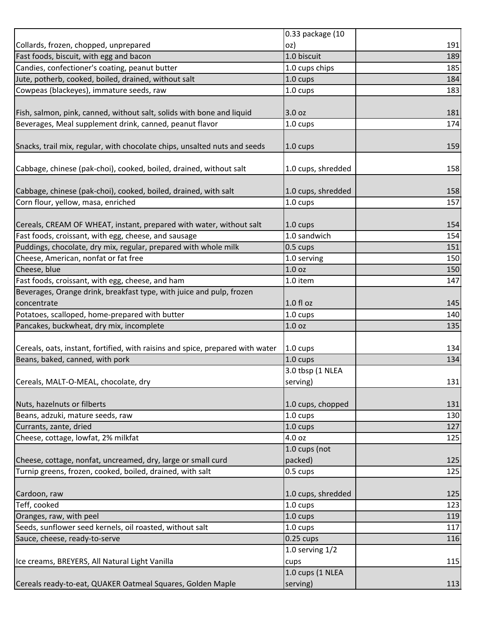|                                                                                | 0.33 package (10   |     |
|--------------------------------------------------------------------------------|--------------------|-----|
| Collards, frozen, chopped, unprepared                                          | oz)                | 191 |
| Fast foods, biscuit, with egg and bacon                                        | 1.0 biscuit        | 189 |
| Candies, confectioner's coating, peanut butter                                 | 1.0 cups chips     | 185 |
| Jute, potherb, cooked, boiled, drained, without salt                           | 1.0 cups           | 184 |
| Cowpeas (blackeyes), immature seeds, raw                                       | 1.0 cups           | 183 |
|                                                                                |                    |     |
| Fish, salmon, pink, canned, without salt, solids with bone and liquid          | 3.0 oz             | 181 |
| Beverages, Meal supplement drink, canned, peanut flavor                        | 1.0 cups           | 174 |
|                                                                                |                    |     |
| Snacks, trail mix, regular, with chocolate chips, unsalted nuts and seeds      | $1.0 \text{ cups}$ | 159 |
|                                                                                |                    |     |
| Cabbage, chinese (pak-choi), cooked, boiled, drained, without salt             | 1.0 cups, shredded | 158 |
|                                                                                |                    |     |
| Cabbage, chinese (pak-choi), cooked, boiled, drained, with salt                | 1.0 cups, shredded | 158 |
| Corn flour, yellow, masa, enriched                                             | 1.0 cups           | 157 |
|                                                                                |                    |     |
| Cereals, CREAM OF WHEAT, instant, prepared with water, without salt            | 1.0 cups           | 154 |
| Fast foods, croissant, with egg, cheese, and sausage                           | 1.0 sandwich       | 154 |
| Puddings, chocolate, dry mix, regular, prepared with whole milk                | 0.5 cups           | 151 |
| Cheese, American, nonfat or fat free                                           | 1.0 serving        | 150 |
| Cheese, blue                                                                   | 1.0 <sub>oz</sub>  | 150 |
| Fast foods, croissant, with egg, cheese, and ham                               | 1.0 item           | 147 |
| Beverages, Orange drink, breakfast type, with juice and pulp, frozen           |                    |     |
| concentrate                                                                    | 1.0 fl oz          | 145 |
| Potatoes, scalloped, home-prepared with butter                                 | 1.0 cups           | 140 |
| Pancakes, buckwheat, dry mix, incomplete                                       | 1.0 <sub>oz</sub>  | 135 |
|                                                                                |                    |     |
| Cereals, oats, instant, fortified, with raisins and spice, prepared with water | 1.0 cups           | 134 |
| Beans, baked, canned, with pork                                                | 1.0 cups           | 134 |
|                                                                                | 3.0 tbsp (1 NLEA   |     |
| Cereals, MALT-O-MEAL, chocolate, dry                                           | serving)           | 131 |
|                                                                                |                    |     |
|                                                                                |                    |     |
| Nuts, hazelnuts or filberts                                                    | 1.0 cups, chopped  | 131 |
| Beans, adzuki, mature seeds, raw                                               | 1.0 cups           | 130 |
| Currants, zante, dried                                                         | 1.0 cups           | 127 |
| Cheese, cottage, lowfat, 2% milkfat                                            | 4.0 oz             | 125 |
|                                                                                | 1.0 cups (not      |     |
| Cheese, cottage, nonfat, uncreamed, dry, large or small curd                   | packed)            | 125 |
| Turnip greens, frozen, cooked, boiled, drained, with salt                      | 0.5 cups           | 125 |
|                                                                                |                    |     |
| Cardoon, raw                                                                   | 1.0 cups, shredded | 125 |
| Teff, cooked                                                                   | $1.0 \text{ cups}$ | 123 |
| Oranges, raw, with peel                                                        | 1.0 cups           | 119 |
| Seeds, sunflower seed kernels, oil roasted, without salt                       | 1.0 cups           | 117 |
| Sauce, cheese, ready-to-serve                                                  | $0.25$ cups        | 116 |
|                                                                                | 1.0 serving $1/2$  |     |
| Ice creams, BREYERS, All Natural Light Vanilla                                 | cups               | 115 |
|                                                                                | 1.0 cups (1 NLEA   |     |
|                                                                                |                    |     |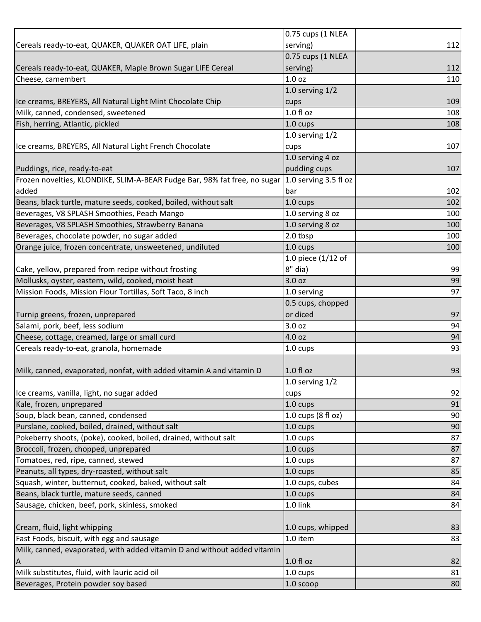|                                                                           | 0.75 cups (1 NLEA     |     |
|---------------------------------------------------------------------------|-----------------------|-----|
| Cereals ready-to-eat, QUAKER, QUAKER OAT LIFE, plain                      | serving)              | 112 |
|                                                                           | 0.75 cups (1 NLEA     |     |
| Cereals ready-to-eat, QUAKER, Maple Brown Sugar LIFE Cereal               | serving)              | 112 |
| Cheese, camembert                                                         | 1.0 <sub>oz</sub>     | 110 |
|                                                                           | 1.0 serving $1/2$     |     |
| Ice creams, BREYERS, All Natural Light Mint Chocolate Chip                | cups                  | 109 |
| Milk, canned, condensed, sweetened                                        | 1.0 f1 oz             | 108 |
| Fish, herring, Atlantic, pickled                                          | 1.0 cups              | 108 |
|                                                                           | 1.0 serving $1/2$     |     |
| Ice creams, BREYERS, All Natural Light French Chocolate                   | cups                  | 107 |
|                                                                           | 1.0 serving 4 oz      |     |
| Puddings, rice, ready-to-eat                                              | pudding cups          | 107 |
| Frozen novelties, KLONDIKE, SLIM-A-BEAR Fudge Bar, 98% fat free, no sugar | 1.0 serving 3.5 fl oz |     |
| added                                                                     | bar                   | 102 |
| Beans, black turtle, mature seeds, cooked, boiled, without salt           | 1.0 cups              | 102 |
| Beverages, V8 SPLASH Smoothies, Peach Mango                               | 1.0 serving 8 oz      | 100 |
| Beverages, V8 SPLASH Smoothies, Strawberry Banana                         | 1.0 serving 8 oz      | 100 |
| Beverages, chocolate powder, no sugar added                               | 2.0 tbsp              | 100 |
| Orange juice, frozen concentrate, unsweetened, undiluted                  | 1.0 cups              | 100 |
|                                                                           | 1.0 piece $(1/12$ of  |     |
| Cake, yellow, prepared from recipe without frosting                       | 8" dia)               | 99  |
| Mollusks, oyster, eastern, wild, cooked, moist heat                       | 3.0 oz                | 99  |
| Mission Foods, Mission Flour Tortillas, Soft Taco, 8 inch                 | 1.0 serving           | 97  |
|                                                                           | 0.5 cups, chopped     |     |
| Turnip greens, frozen, unprepared                                         | or diced              | 97  |
| Salami, pork, beef, less sodium                                           | 3.0 oz                | 94  |
| Cheese, cottage, creamed, large or small curd                             | 4.0 oz                | 94  |
| Cereals ready-to-eat, granola, homemade                                   | 1.0 cups              | 93  |
|                                                                           |                       |     |
| Milk, canned, evaporated, nonfat, with added vitamin A and vitamin D      | 1.0 fl oz             | 93  |
|                                                                           | 1.0 serving $1/2$     |     |
| Ice creams, vanilla, light, no sugar added                                | cups                  | 92  |
| Kale, frozen, unprepared                                                  | 1.0 cups              | 91  |
| Soup, black bean, canned, condensed                                       | 1.0 cups (8 fl oz)    | 90  |
| Purslane, cooked, boiled, drained, without salt                           | 1.0 cups              | 90  |
| Pokeberry shoots, (poke), cooked, boiled, drained, without salt           | 1.0 cups              | 87  |
| Broccoli, frozen, chopped, unprepared                                     | 1.0 cups              | 87  |
| Tomatoes, red, ripe, canned, stewed                                       | 1.0 cups              | 87  |
| Peanuts, all types, dry-roasted, without salt                             | 1.0 cups              | 85  |
| Squash, winter, butternut, cooked, baked, without salt                    | 1.0 cups, cubes       | 84  |
| Beans, black turtle, mature seeds, canned                                 | 1.0 cups              | 84  |
| Sausage, chicken, beef, pork, skinless, smoked                            | 1.0 link              | 84  |
|                                                                           |                       |     |
| Cream, fluid, light whipping                                              | 1.0 cups, whipped     | 83  |
| Fast Foods, biscuit, with egg and sausage                                 | 1.0 item              | 83  |
| Milk, canned, evaporated, with added vitamin D and without added vitamin  |                       |     |
|                                                                           | $1.0 f$ l oz          | 82  |
| Milk substitutes, fluid, with lauric acid oil                             | 1.0 cups              | 81  |
| Beverages, Protein powder soy based                                       | 1.0 scoop             | 80  |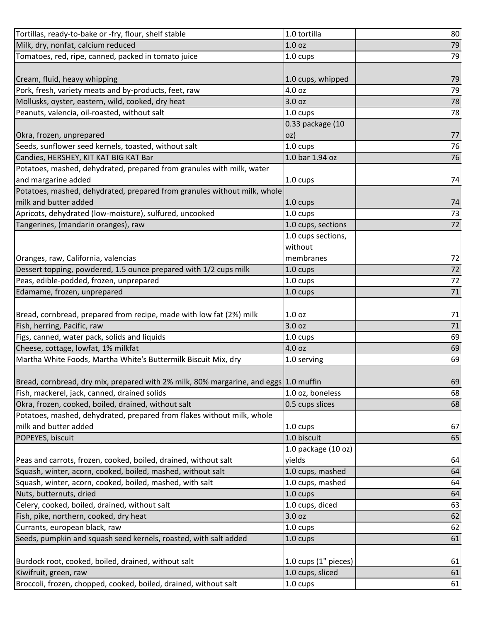| Tortillas, ready-to-bake or -fry, flour, shelf stable                                | 1.0 tortilla           | 80              |
|--------------------------------------------------------------------------------------|------------------------|-----------------|
| Milk, dry, nonfat, calcium reduced                                                   | 1.0 <sub>oz</sub>      | 79              |
| Tomatoes, red, ripe, canned, packed in tomato juice                                  | 1.0 cups               | 79              |
|                                                                                      |                        |                 |
| Cream, fluid, heavy whipping                                                         | 1.0 cups, whipped      | 79              |
| Pork, fresh, variety meats and by-products, feet, raw                                | 4.0 oz                 | 79              |
| Mollusks, oyster, eastern, wild, cooked, dry heat                                    | 3.0 oz                 | 78              |
| Peanuts, valencia, oil-roasted, without salt                                         | $1.0 \text{ cups}$     | 78              |
|                                                                                      | 0.33 package (10       |                 |
| Okra, frozen, unprepared                                                             | OZ)                    | 77              |
| Seeds, sunflower seed kernels, toasted, without salt                                 | 1.0 cups               | 76              |
| Candies, HERSHEY, KIT KAT BIG KAT Bar                                                | 1.0 bar 1.94 oz        | 76              |
| Potatoes, mashed, dehydrated, prepared from granules with milk, water                |                        |                 |
| and margarine added                                                                  | 1.0 cups               | 74              |
| Potatoes, mashed, dehydrated, prepared from granules without milk, whole             |                        |                 |
| milk and butter added                                                                | $1.0 \text{ cups}$     | 74              |
| Apricots, dehydrated (low-moisture), sulfured, uncooked                              | 1.0 cups               | 73              |
| Tangerines, (mandarin oranges), raw                                                  | 1.0 cups, sections     | 72              |
|                                                                                      | 1.0 cups sections,     |                 |
|                                                                                      | without                |                 |
| Oranges, raw, California, valencias                                                  | membranes              | 72              |
| Dessert topping, powdered, 1.5 ounce prepared with 1/2 cups milk                     | 1.0 cups               | 72              |
| Peas, edible-podded, frozen, unprepared                                              | 1.0 cups               | $72\,$          |
| Edamame, frozen, unprepared                                                          | 1.0 cups               | $\overline{71}$ |
|                                                                                      |                        |                 |
| Bread, cornbread, prepared from recipe, made with low fat (2%) milk                  | 1.0 <sub>oz</sub>      | 71              |
| Fish, herring, Pacific, raw                                                          | 3.0 oz                 | 71              |
| Figs, canned, water pack, solids and liquids                                         | 1.0 cups               | 69              |
| Cheese, cottage, lowfat, 1% milkfat                                                  | 4.0 oz                 | 69              |
| Martha White Foods, Martha White's Buttermilk Biscuit Mix, dry                       | 1.0 serving            | 69              |
|                                                                                      |                        |                 |
| Bread, cornbread, dry mix, prepared with 2% milk, 80% margarine, and eggs 1.0 muffin |                        | 69              |
| Fish, mackerel, jack, canned, drained solids                                         | 1.0 oz, boneless       | 68              |
| Okra, frozen, cooked, boiled, drained, without salt                                  | 0.5 cups slices        | 68              |
| Potatoes, mashed, dehydrated, prepared from flakes without milk, whole               |                        |                 |
| milk and butter added                                                                | 1.0 cups               | 67              |
| POPEYES, biscuit                                                                     | 1.0 biscuit            | 65              |
|                                                                                      | 1.0 package (10 oz)    |                 |
| Peas and carrots, frozen, cooked, boiled, drained, without salt                      | yields                 | 64              |
| Squash, winter, acorn, cooked, boiled, mashed, without salt                          | 1.0 cups, mashed       | 64              |
| Squash, winter, acorn, cooked, boiled, mashed, with salt                             | 1.0 cups, mashed       | 64              |
| Nuts, butternuts, dried                                                              | 1.0 cups               | 64              |
| Celery, cooked, boiled, drained, without salt                                        | 1.0 cups, diced        | 63              |
| Fish, pike, northern, cooked, dry heat                                               | 3.0 oz                 | 62              |
| Currants, european black, raw                                                        | 1.0 cups               | 62              |
| Seeds, pumpkin and squash seed kernels, roasted, with salt added                     | 1.0 cups               | 61              |
|                                                                                      |                        |                 |
| Burdock root, cooked, boiled, drained, without salt                                  | 1.0 cups $(1"$ pieces) | 61              |
| Kiwifruit, green, raw                                                                | 1.0 cups, sliced       | 61              |
| Broccoli, frozen, chopped, cooked, boiled, drained, without salt                     | 1.0 cups               | 61              |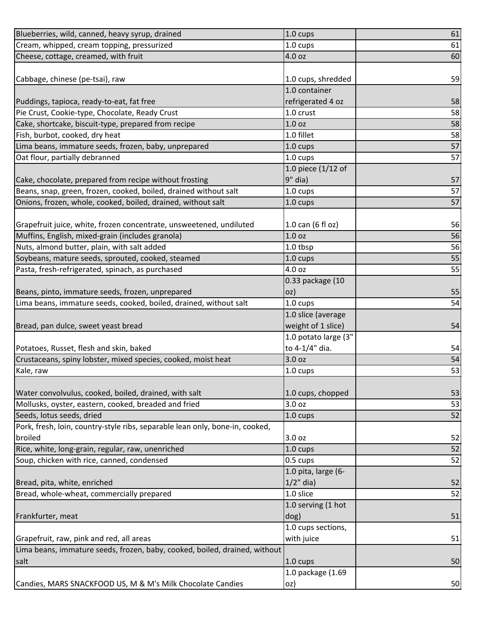| Blueberries, wild, canned, heavy syrup, drained                              | 1.0 cups                    | 61 |
|------------------------------------------------------------------------------|-----------------------------|----|
| Cream, whipped, cream topping, pressurized                                   | 1.0 cups                    | 61 |
| Cheese, cottage, creamed, with fruit                                         | 4.0 oz                      | 60 |
|                                                                              |                             |    |
| Cabbage, chinese (pe-tsai), raw                                              | 1.0 cups, shredded          | 59 |
|                                                                              | 1.0 container               |    |
| Puddings, tapioca, ready-to-eat, fat free                                    | refrigerated 4 oz           | 58 |
| Pie Crust, Cookie-type, Chocolate, Ready Crust                               | 1.0 crust                   | 58 |
| Cake, shortcake, biscuit-type, prepared from recipe                          | 1.0 <sub>oz</sub>           | 58 |
| Fish, burbot, cooked, dry heat                                               | 1.0 fillet                  | 58 |
| Lima beans, immature seeds, frozen, baby, unprepared                         | 1.0 cups                    | 57 |
| Oat flour, partially debranned                                               | 1.0 cups                    | 57 |
|                                                                              | 1.0 piece $(1/12$ of        |    |
| Cake, chocolate, prepared from recipe without frosting                       | $9"$ dia)                   | 57 |
| Beans, snap, green, frozen, cooked, boiled, drained without salt             | 1.0 cups                    | 57 |
| Onions, frozen, whole, cooked, boiled, drained, without salt                 | 1.0 cups                    | 57 |
|                                                                              |                             |    |
| Grapefruit juice, white, frozen concentrate, unsweetened, undiluted          | 1.0 can $(6 \text{ fl oz})$ | 56 |
| Muffins, English, mixed-grain (includes granola)                             | 1.0 <sub>oz</sub>           | 56 |
| Nuts, almond butter, plain, with salt added                                  | 1.0 tbsp                    | 56 |
| Soybeans, mature seeds, sprouted, cooked, steamed                            | 1.0 cups                    | 55 |
| Pasta, fresh-refrigerated, spinach, as purchased                             | 4.0 oz                      | 55 |
|                                                                              | 0.33 package (10            |    |
| Beans, pinto, immature seeds, frozen, unprepared                             | OZ)                         | 55 |
| Lima beans, immature seeds, cooked, boiled, drained, without salt            | $1.0 \text{ cups}$          | 54 |
|                                                                              | 1.0 slice (average          |    |
| Bread, pan dulce, sweet yeast bread                                          | weight of 1 slice)          | 54 |
|                                                                              | 1.0 potato large (3"        |    |
| Potatoes, Russet, flesh and skin, baked                                      | to 4-1/4" dia.              | 54 |
| Crustaceans, spiny lobster, mixed species, cooked, moist heat                | 3.0 oz                      | 54 |
| Kale, raw                                                                    | 1.0 cups                    | 53 |
|                                                                              |                             |    |
| Water convolvulus, cooked, boiled, drained, with salt                        | 1.0 cups, chopped           | 53 |
| Mollusks, oyster, eastern, cooked, breaded and fried                         | 3.0 oz                      | 53 |
| Seeds, lotus seeds, dried                                                    | 1.0 cups                    | 52 |
| Pork, fresh, loin, country-style ribs, separable lean only, bone-in, cooked, |                             |    |
| broiled                                                                      | 3.0 oz                      | 52 |
| Rice, white, long-grain, regular, raw, unenriched                            | $1.0 \text{ cups}$          | 52 |
| Soup, chicken with rice, canned, condensed                                   | 0.5 cups                    | 52 |
|                                                                              | 1.0 pita, large (6-         |    |
| Bread, pita, white, enriched                                                 | $1/2$ " dia)                | 52 |
| Bread, whole-wheat, commercially prepared                                    | 1.0 slice                   | 52 |
|                                                                              | 1.0 serving (1 hot          |    |
| Frankfurter, meat                                                            | dog)                        | 51 |
|                                                                              | 1.0 cups sections,          |    |
| Grapefruit, raw, pink and red, all areas                                     | with juice                  | 51 |
| Lima beans, immature seeds, frozen, baby, cooked, boiled, drained, without   |                             |    |
| salt                                                                         | $1.0 \text{ cups}$          | 50 |
|                                                                              | 1.0 package (1.69           |    |
| Candies, MARS SNACKFOOD US, M & M's Milk Chocolate Candies                   | oz)                         | 50 |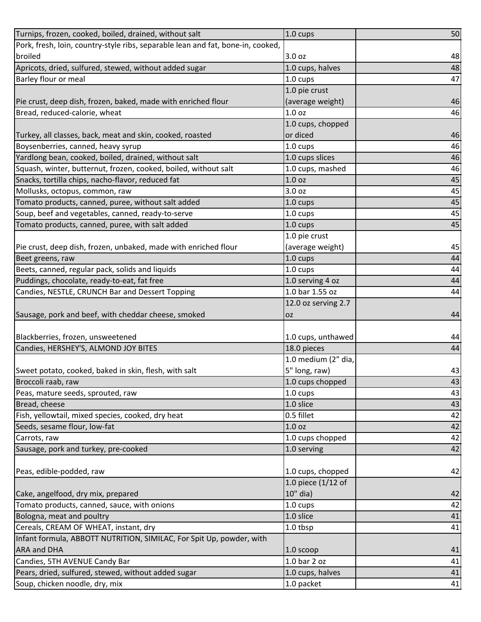| Turnips, frozen, cooked, boiled, drained, without salt                          | 1.0 cups            | 50 |
|---------------------------------------------------------------------------------|---------------------|----|
| Pork, fresh, loin, country-style ribs, separable lean and fat, bone-in, cooked, |                     |    |
| broiled                                                                         | 3.0 oz              | 48 |
| Apricots, dried, sulfured, stewed, without added sugar                          | 1.0 cups, halves    | 48 |
| Barley flour or meal                                                            | 1.0 cups            | 47 |
|                                                                                 | 1.0 pie crust       |    |
| Pie crust, deep dish, frozen, baked, made with enriched flour                   | (average weight)    | 46 |
| Bread, reduced-calorie, wheat                                                   | 1.0 <sub>oz</sub>   | 46 |
|                                                                                 | 1.0 cups, chopped   |    |
| Turkey, all classes, back, meat and skin, cooked, roasted                       | or diced            | 46 |
| Boysenberries, canned, heavy syrup                                              | 1.0 cups            | 46 |
| Yardlong bean, cooked, boiled, drained, without salt                            | 1.0 cups slices     | 46 |
| Squash, winter, butternut, frozen, cooked, boiled, without salt                 | 1.0 cups, mashed    | 46 |
| Snacks, tortilla chips, nacho-flavor, reduced fat                               | 1.0 <sub>oz</sub>   | 45 |
| Mollusks, octopus, common, raw                                                  | 3.0 <sub>oz</sub>   | 45 |
| Tomato products, canned, puree, without salt added                              | 1.0 cups            | 45 |
| Soup, beef and vegetables, canned, ready-to-serve                               | 1.0 cups            | 45 |
| Tomato products, canned, puree, with salt added                                 | 1.0 cups            | 45 |
|                                                                                 | 1.0 pie crust       |    |
| Pie crust, deep dish, frozen, unbaked, made with enriched flour                 | (average weight)    | 45 |
| Beet greens, raw                                                                | $1.0 \text{ cups}$  | 44 |
| Beets, canned, regular pack, solids and liquids                                 | 1.0 cups            | 44 |
| Puddings, chocolate, ready-to-eat, fat free                                     | 1.0 serving 4 oz    | 44 |
| Candies, NESTLE, CRUNCH Bar and Dessert Topping                                 | $1.0$ bar 1.55 oz   | 44 |
|                                                                                 | 12.0 oz serving 2.7 |    |
| Sausage, pork and beef, with cheddar cheese, smoked                             | <b>OZ</b>           | 44 |
|                                                                                 |                     |    |
| Blackberries, frozen, unsweetened                                               | 1.0 cups, unthawed  | 44 |
| Candies, HERSHEY'S, ALMOND JOY BITES                                            | 18.0 pieces         | 44 |
|                                                                                 | 1.0 medium (2" dia, |    |
| Sweet potato, cooked, baked in skin, flesh, with salt                           | 5" long, raw)       | 43 |
| Broccoli raab, raw                                                              | 1.0 cups chopped    | 43 |
| Peas, mature seeds, sprouted, raw                                               | 1.0 cups            | 43 |
| Bread, cheese                                                                   | 1.0 slice           | 43 |
| Fish, yellowtail, mixed species, cooked, dry heat                               | 0.5 fillet          | 42 |
| Seeds, sesame flour, low-fat                                                    | 1.0 <sub>oz</sub>   | 42 |
| Carrots, raw                                                                    | 1.0 cups chopped    | 42 |
| Sausage, pork and turkey, pre-cooked                                            | 1.0 serving         | 42 |
|                                                                                 |                     |    |
| Peas, edible-podded, raw                                                        | 1.0 cups, chopped   | 42 |
|                                                                                 | 1.0 piece (1/12 of  |    |
| Cake, angelfood, dry mix, prepared                                              | 10" dia)            | 42 |
| Tomato products, canned, sauce, with onions                                     | 1.0 cups            | 42 |
| Bologna, meat and poultry                                                       | 1.0 slice           | 41 |
| Cereals, CREAM OF WHEAT, instant, dry                                           | 1.0 tbsp            | 41 |
| Infant formula, ABBOTT NUTRITION, SIMILAC, For Spit Up, powder, with            |                     |    |
| <b>ARA and DHA</b>                                                              | 1.0 scoop           | 41 |
| Candies, 5TH AVENUE Candy Bar                                                   | 1.0 bar 2 oz        | 41 |
| Pears, dried, sulfured, stewed, without added sugar                             | 1.0 cups, halves    | 41 |
|                                                                                 |                     |    |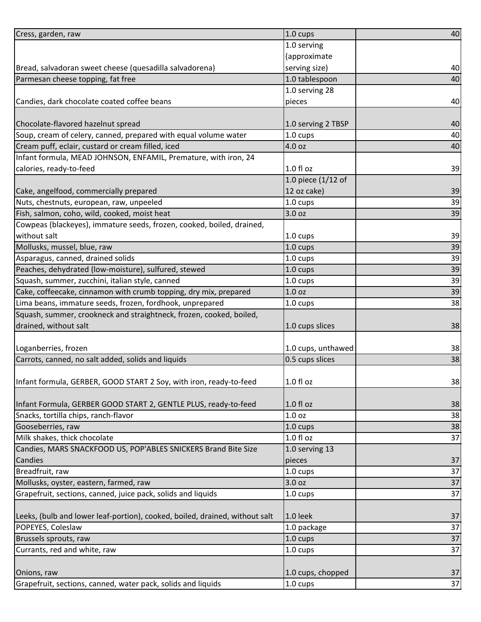| Cress, garden, raw                                                          | 1.0 cups             | 40 |
|-----------------------------------------------------------------------------|----------------------|----|
|                                                                             | 1.0 serving          |    |
|                                                                             | (approximate         |    |
| Bread, salvadoran sweet cheese (quesadilla salvadorena)                     | serving size)        | 40 |
| Parmesan cheese topping, fat free                                           | 1.0 tablespoon       | 40 |
|                                                                             | 1.0 serving 28       |    |
| Candies, dark chocolate coated coffee beans                                 | pieces               | 40 |
|                                                                             |                      |    |
| Chocolate-flavored hazelnut spread                                          | 1.0 serving 2 TBSP   | 40 |
| Soup, cream of celery, canned, prepared with equal volume water             | 1.0 cups             | 40 |
| Cream puff, eclair, custard or cream filled, iced                           | 4.0 oz               | 40 |
| Infant formula, MEAD JOHNSON, ENFAMIL, Premature, with iron, 24             |                      |    |
| calories, ready-to-feed                                                     | $1.0 f$ l oz         | 39 |
|                                                                             | 1.0 piece $(1/12$ of |    |
| Cake, angelfood, commercially prepared                                      | 12 oz cake)          | 39 |
| Nuts, chestnuts, european, raw, unpeeled                                    | 1.0 cups             | 39 |
| Fish, salmon, coho, wild, cooked, moist heat                                | 3.0 oz               | 39 |
| Cowpeas (blackeyes), immature seeds, frozen, cooked, boiled, drained,       |                      |    |
| without salt                                                                | 1.0 cups             | 39 |
| Mollusks, mussel, blue, raw                                                 | $1.0 \text{ cups}$   | 39 |
| Asparagus, canned, drained solids                                           | 1.0 cups             | 39 |
| Peaches, dehydrated (low-moisture), sulfured, stewed                        | 1.0 cups             | 39 |
| Squash, summer, zucchini, italian style, canned                             | 1.0 cups             | 39 |
| Cake, coffeecake, cinnamon with crumb topping, dry mix, prepared            | 1.0 <sub>oz</sub>    | 39 |
| Lima beans, immature seeds, frozen, fordhook, unprepared                    | 1.0 cups             | 38 |
| Squash, summer, crookneck and straightneck, frozen, cooked, boiled,         |                      |    |
| drained, without salt                                                       | 1.0 cups slices      | 38 |
|                                                                             |                      |    |
| Loganberries, frozen                                                        | 1.0 cups, unthawed   | 38 |
| Carrots, canned, no salt added, solids and liquids                          | 0.5 cups slices      | 38 |
|                                                                             |                      |    |
| Infant formula, GERBER, GOOD START 2 Soy, with iron, ready-to-feed          | $1.0 f$ l oz         | 38 |
|                                                                             |                      |    |
| Infant Formula, GERBER GOOD START 2, GENTLE PLUS, ready-to-feed             | 1.0 f1 oz            | 38 |
| Snacks, tortilla chips, ranch-flavor                                        | 1.0 <sub>oz</sub>    | 38 |
| Gooseberries, raw                                                           | 1.0 cups             | 38 |
| Milk shakes, thick chocolate                                                | 1.0 f1 oz            | 37 |
| Candies, MARS SNACKFOOD US, POP'ABLES SNICKERS Brand Bite Size              | 1.0 serving 13       |    |
| Candies                                                                     | pieces               | 37 |
| Breadfruit, raw                                                             | 1.0 cups             | 37 |
| Mollusks, oyster, eastern, farmed, raw                                      | 3.0 oz               | 37 |
| Grapefruit, sections, canned, juice pack, solids and liquids                | 1.0 cups             | 37 |
| Leeks, (bulb and lower leaf-portion), cooked, boiled, drained, without salt | 1.0 leek             | 37 |
| POPEYES, Coleslaw                                                           | 1.0 package          | 37 |
| Brussels sprouts, raw                                                       | 1.0 cups             | 37 |
| Currants, red and white, raw                                                | 1.0 cups             | 37 |
|                                                                             |                      |    |
| Onions, raw                                                                 | 1.0 cups, chopped    | 37 |
| Grapefruit, sections, canned, water pack, solids and liquids                | 1.0 cups             | 37 |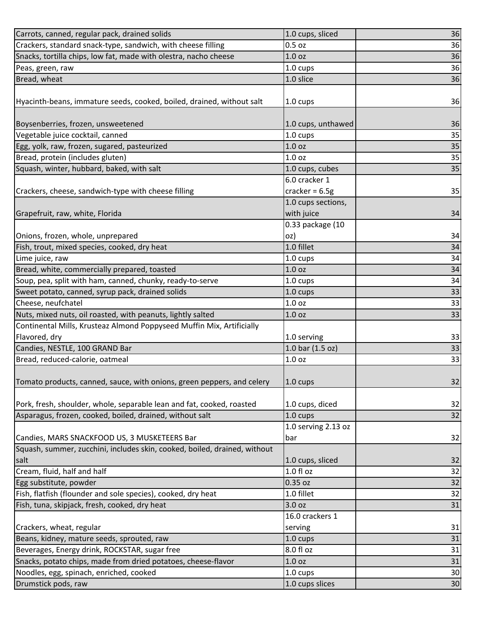| Carrots, canned, regular pack, drained solids                             | 1.0 cups, sliced    | 36 |
|---------------------------------------------------------------------------|---------------------|----|
| Crackers, standard snack-type, sandwich, with cheese filling              | $0.5$ oz            | 36 |
| Snacks, tortilla chips, low fat, made with olestra, nacho cheese          | 1.0 <sub>oz</sub>   | 36 |
| Peas, green, raw                                                          | 1.0 cups            | 36 |
| Bread, wheat                                                              | 1.0 slice           | 36 |
|                                                                           |                     |    |
| Hyacinth-beans, immature seeds, cooked, boiled, drained, without salt     | 1.0 cups            | 36 |
|                                                                           |                     |    |
| Boysenberries, frozen, unsweetened                                        | 1.0 cups, unthawed  | 36 |
| Vegetable juice cocktail, canned                                          | $1.0 \text{ cups}$  | 35 |
| Egg, yolk, raw, frozen, sugared, pasteurized                              | 1.0 <sub>oz</sub>   | 35 |
| Bread, protein (includes gluten)                                          | 1.0 <sub>oz</sub>   | 35 |
| Squash, winter, hubbard, baked, with salt                                 | 1.0 cups, cubes     | 35 |
|                                                                           | 6.0 cracker 1       |    |
| Crackers, cheese, sandwich-type with cheese filling                       | cracker = $6.5g$    | 35 |
|                                                                           | 1.0 cups sections,  |    |
| Grapefruit, raw, white, Florida                                           | with juice          | 34 |
|                                                                           | 0.33 package (10    |    |
| Onions, frozen, whole, unprepared                                         | oz)                 | 34 |
| Fish, trout, mixed species, cooked, dry heat                              | 1.0 fillet          | 34 |
| Lime juice, raw                                                           | $1.0 \text{ cups}$  | 34 |
| Bread, white, commercially prepared, toasted                              | 1.0 <sub>oz</sub>   | 34 |
| Soup, pea, split with ham, canned, chunky, ready-to-serve                 | $1.0 \text{ cups}$  | 34 |
| Sweet potato, canned, syrup pack, drained solids                          | 1.0 cups            | 33 |
| Cheese, neufchatel                                                        | 1.0 <sub>oz</sub>   | 33 |
| Nuts, mixed nuts, oil roasted, with peanuts, lightly salted               | 1.0 oz              | 33 |
| Continental Mills, Krusteaz Almond Poppyseed Muffin Mix, Artificially     |                     |    |
| Flavored, dry                                                             | 1.0 serving         | 33 |
| Candies, NESTLE, 100 GRAND Bar                                            | 1.0 bar (1.5 oz)    | 33 |
| Bread, reduced-calorie, oatmeal                                           | 1.0 <sub>oz</sub>   | 33 |
|                                                                           |                     |    |
| Tomato products, canned, sauce, with onions, green peppers, and celery    | $1.0 \text{ cups}$  | 32 |
|                                                                           |                     |    |
| Pork, fresh, shoulder, whole, separable lean and fat, cooked, roasted     | 1.0 cups, diced     | 32 |
| Asparagus, frozen, cooked, boiled, drained, without salt                  | 1.0 cups            | 32 |
|                                                                           | 1.0 serving 2.13 oz |    |
| Candies, MARS SNACKFOOD US, 3 MUSKETEERS Bar                              | bar                 | 32 |
| Squash, summer, zucchini, includes skin, cooked, boiled, drained, without |                     |    |
| salt                                                                      | 1.0 cups, sliced    | 32 |
| Cream, fluid, half and half                                               | 1.0 fl oz           | 32 |
| Egg substitute, powder                                                    | 0.35 oz             | 32 |
| Fish, flatfish (flounder and sole species), cooked, dry heat              | 1.0 fillet          | 32 |
| Fish, tuna, skipjack, fresh, cooked, dry heat                             | 3.0 oz              | 31 |
|                                                                           | 16.0 crackers 1     |    |
| Crackers, wheat, regular                                                  | serving             | 31 |
| Beans, kidney, mature seeds, sprouted, raw                                | 1.0 cups            | 31 |
| Beverages, Energy drink, ROCKSTAR, sugar free                             | 8.0 fl oz           | 31 |
| Snacks, potato chips, made from dried potatoes, cheese-flavor             | 1.0 <sub>oz</sub>   | 31 |
| Noodles, egg, spinach, enriched, cooked                                   | 1.0 cups            | 30 |
| Drumstick pods, raw                                                       | 1.0 cups slices     | 30 |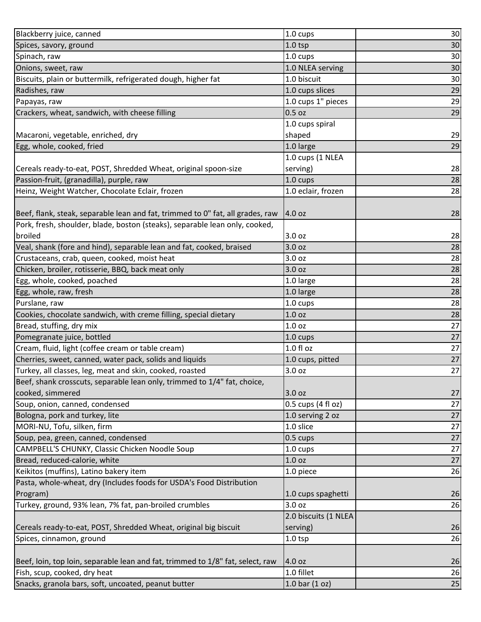| Blackberry juice, canned                                                       | 1.0 cups                     | 30              |
|--------------------------------------------------------------------------------|------------------------------|-----------------|
| Spices, savory, ground                                                         | $1.0$ tsp                    | 30              |
| Spinach, raw                                                                   | 1.0 cups                     | 30              |
| Onions, sweet, raw                                                             | 1.0 NLEA serving             | 30              |
| Biscuits, plain or buttermilk, refrigerated dough, higher fat                  | 1.0 biscuit                  | 30              |
| Radishes, raw                                                                  | 1.0 cups slices              | 29              |
| Papayas, raw                                                                   | 1.0 cups 1" pieces           | 29              |
| Crackers, wheat, sandwich, with cheese filling                                 | $0.5$ oz                     | 29              |
|                                                                                | 1.0 cups spiral              |                 |
| Macaroni, vegetable, enriched, dry                                             | shaped                       | 29              |
| Egg, whole, cooked, fried                                                      | 1.0 large                    | 29              |
|                                                                                | 1.0 cups (1 NLEA             |                 |
| Cereals ready-to-eat, POST, Shredded Wheat, original spoon-size                | serving)                     | 28              |
| Passion-fruit, (granadilla), purple, raw                                       | 1.0 cups                     | 28              |
| Heinz, Weight Watcher, Chocolate Eclair, frozen                                | 1.0 eclair, frozen           | 28              |
|                                                                                |                              |                 |
| Beef, flank, steak, separable lean and fat, trimmed to 0" fat, all grades, raw | 4.0 oz                       | 28              |
| Pork, fresh, shoulder, blade, boston (steaks), separable lean only, cooked,    |                              |                 |
| broiled                                                                        | 3.0 oz                       | 28              |
| Veal, shank (fore and hind), separable lean and fat, cooked, braised           | 3.0 oz                       | 28              |
| Crustaceans, crab, queen, cooked, moist heat                                   | 3.0 oz                       | 28              |
| Chicken, broiler, rotisserie, BBQ, back meat only                              | 3.0 oz                       | 28              |
| Egg, whole, cooked, poached                                                    | 1.0 large                    | 28              |
| Egg, whole, raw, fresh                                                         | 1.0 large                    | 28              |
| Purslane, raw                                                                  | 1.0 cups                     | 28              |
| Cookies, chocolate sandwich, with creme filling, special dietary               | 1.0 oz                       | 28              |
| Bread, stuffing, dry mix                                                       | 1.0 <sub>oz</sub>            | 27              |
| Pomegranate juice, bottled                                                     | 1.0 cups                     | 27              |
| Cream, fluid, light (coffee cream or table cream)                              | 1.0 f1 oz                    | 27              |
| Cherries, sweet, canned, water pack, solids and liquids                        | 1.0 cups, pitted             | $\overline{27}$ |
| Turkey, all classes, leg, meat and skin, cooked, roasted                       | 3.0 oz                       | $\overline{27}$ |
| Beef, shank crosscuts, separable lean only, trimmed to 1/4" fat, choice,       |                              |                 |
| cooked, simmered                                                               | 3.0 oz                       | 27              |
| Soup, onion, canned, condensed                                                 | 0.5 cups $(4 \text{ fl oz})$ | 27              |
| Bologna, pork and turkey, lite                                                 | 1.0 serving 2 oz             | 27              |
| MORI-NU, Tofu, silken, firm                                                    | 1.0 slice                    | 27              |
| Soup, pea, green, canned, condensed                                            | 0.5 cups                     | 27              |
| CAMPBELL'S CHUNKY, Classic Chicken Noodle Soup                                 | 1.0 cups                     | $27\,$          |
| Bread, reduced-calorie, white                                                  | 1.0 <sub>oz</sub>            | 27              |
| Keikitos (muffins), Latino bakery item                                         | 1.0 piece                    | 26              |
| Pasta, whole-wheat, dry (Includes foods for USDA's Food Distribution           |                              |                 |
| Program)                                                                       | 1.0 cups spaghetti           | 26              |
| Turkey, ground, 93% lean, 7% fat, pan-broiled crumbles                         | 3.0 oz                       | 26              |
|                                                                                | 2.0 biscuits (1 NLEA         |                 |
| Cereals ready-to-eat, POST, Shredded Wheat, original big biscuit               | serving)                     | 26              |
| Spices, cinnamon, ground                                                       | $1.0$ tsp                    | 26              |
|                                                                                |                              |                 |
| Beef, loin, top loin, separable lean and fat, trimmed to 1/8" fat, select, raw | 4.0 oz                       | 26              |
| Fish, scup, cooked, dry heat                                                   | 1.0 fillet                   | 26              |
| Snacks, granola bars, soft, uncoated, peanut butter                            | 1.0 bar $(1 oz)$             | 25              |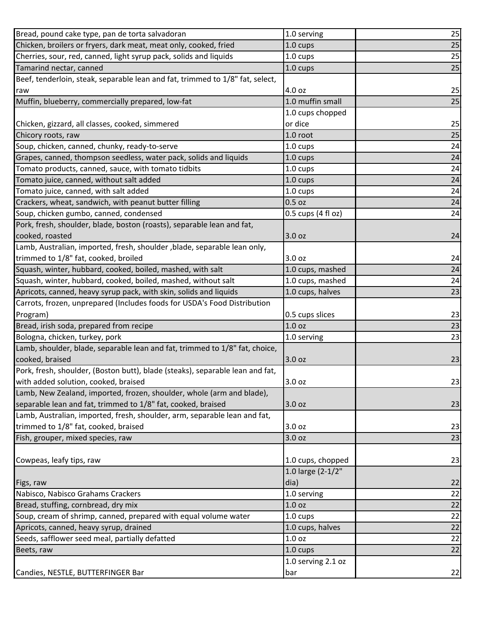| Bread, pound cake type, pan de torta salvadoran                               | 1.0 serving        | 25              |
|-------------------------------------------------------------------------------|--------------------|-----------------|
| Chicken, broilers or fryers, dark meat, meat only, cooked, fried              | 1.0 cups           | 25              |
| Cherries, sour, red, canned, light syrup pack, solids and liquids             | $1.0 \text{ cups}$ | 25              |
| Tamarind nectar, canned                                                       | 1.0 cups           | 25              |
| Beef, tenderloin, steak, separable lean and fat, trimmed to 1/8" fat, select, |                    |                 |
| raw                                                                           | 4.0 oz             | 25              |
| Muffin, blueberry, commercially prepared, low-fat                             | 1.0 muffin small   | 25              |
|                                                                               | 1.0 cups chopped   |                 |
| Chicken, gizzard, all classes, cooked, simmered                               | or dice            | 25              |
| Chicory roots, raw                                                            | 1.0 root           | 25              |
| Soup, chicken, canned, chunky, ready-to-serve                                 | $1.0 \text{ cups}$ | 24              |
| Grapes, canned, thompson seedless, water pack, solids and liquids             | 1.0 cups           | 24              |
| Tomato products, canned, sauce, with tomato tidbits                           | 1.0 cups           | 24              |
| Tomato juice, canned, without salt added                                      | 1.0 cups           | 24              |
| Tomato juice, canned, with salt added                                         | 1.0 cups           | 24              |
| Crackers, wheat, sandwich, with peanut butter filling                         | $0.5$ oz           | 24              |
| Soup, chicken gumbo, canned, condensed                                        | 0.5 cups (4 fl oz) | 24              |
| Pork, fresh, shoulder, blade, boston (roasts), separable lean and fat,        |                    |                 |
| cooked, roasted                                                               | 3.0 oz             | 24              |
| Lamb, Australian, imported, fresh, shoulder , blade, separable lean only,     |                    |                 |
| trimmed to 1/8" fat, cooked, broiled                                          | 3.0 oz             | 24              |
| Squash, winter, hubbard, cooked, boiled, mashed, with salt                    | 1.0 cups, mashed   | 24              |
| Squash, winter, hubbard, cooked, boiled, mashed, without salt                 | 1.0 cups, mashed   | 24              |
| Apricots, canned, heavy syrup pack, with skin, solids and liquids             | 1.0 cups, halves   | 23              |
| Carrots, frozen, unprepared (Includes foods for USDA's Food Distribution      |                    |                 |
| Program)                                                                      | 0.5 cups slices    | 23              |
| Bread, irish soda, prepared from recipe                                       | 1.0 oz             | 23              |
| Bologna, chicken, turkey, pork                                                | 1.0 serving        | 23              |
| Lamb, shoulder, blade, separable lean and fat, trimmed to 1/8" fat, choice,   |                    |                 |
| cooked, braised                                                               | 3.0 oz             | 23              |
| Pork, fresh, shoulder, (Boston butt), blade (steaks), separable lean and fat, |                    |                 |
| with added solution, cooked, braised                                          | 3.0 oz             | 23              |
| Lamb, New Zealand, imported, frozen, shoulder, whole (arm and blade),         |                    |                 |
| separable lean and fat, trimmed to 1/8" fat, cooked, braised                  | 3.0 oz             | 23              |
| Lamb, Australian, imported, fresh, shoulder, arm, separable lean and fat,     |                    |                 |
| trimmed to 1/8" fat, cooked, braised                                          | 3.0 oz             | 23              |
| Fish, grouper, mixed species, raw                                             | 3.0 oz             | 23              |
|                                                                               |                    |                 |
| Cowpeas, leafy tips, raw                                                      | 1.0 cups, chopped  | 23              |
|                                                                               | 1.0 large (2-1/2"  |                 |
| Figs, raw                                                                     | dia)               | 22              |
| Nabisco, Nabisco Grahams Crackers                                             | 1.0 serving        | 22              |
| Bread, stuffing, cornbread, dry mix                                           | 1.0 <sub>oz</sub>  | 22              |
| Soup, cream of shrimp, canned, prepared with equal volume water               | 1.0 cups           | 22              |
| Apricots, canned, heavy syrup, drained                                        | 1.0 cups, halves   | $\overline{22}$ |
| Seeds, safflower seed meal, partially defatted                                | 1.0 <sub>oz</sub>  | 22              |
| Beets, raw                                                                    | 1.0 cups           | 22              |
|                                                                               | 1.0 serving 2.1 oz |                 |
| Candies, NESTLE, BUTTERFINGER Bar                                             | bar                | 22              |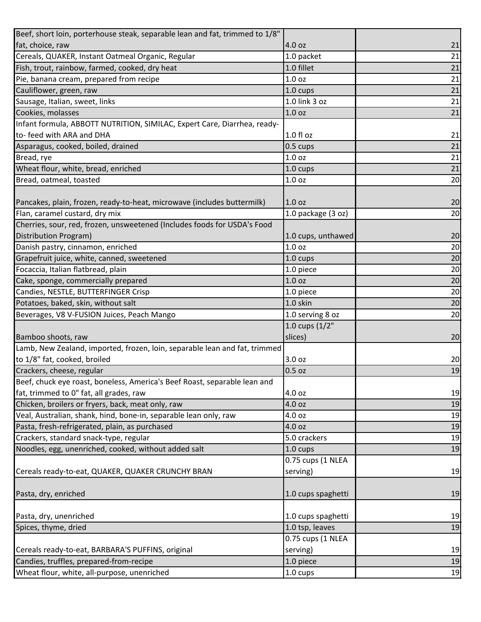| Beef, short loin, porterhouse steak, separable lean and fat, trimmed to 1/8" |                    |    |
|------------------------------------------------------------------------------|--------------------|----|
| fat, choice, raw                                                             | 4.0 oz             | 21 |
| Cereals, QUAKER, Instant Oatmeal Organic, Regular                            | 1.0 packet         | 21 |
| Fish, trout, rainbow, farmed, cooked, dry heat                               | 1.0 fillet         | 21 |
| Pie, banana cream, prepared from recipe                                      | 1.0 <sub>oz</sub>  | 21 |
| Cauliflower, green, raw                                                      | 1.0 cups           | 21 |
| Sausage, Italian, sweet, links                                               | 1.0 link 3 oz      | 21 |
| Cookies, molasses                                                            | 1.0 <sub>oz</sub>  | 21 |
| Infant formula, ABBOTT NUTRITION, SIMILAC, Expert Care, Diarrhea, ready-     |                    |    |
| to- feed with ARA and DHA                                                    | 1.0 fl oz          | 21 |
| Asparagus, cooked, boiled, drained                                           | $0.5 \text{ cups}$ | 21 |
| Bread, rye                                                                   | 1.0 <sub>oz</sub>  | 21 |
| Wheat flour, white, bread, enriched                                          | 1.0 cups           | 21 |
| Bread, oatmeal, toasted                                                      | 1.0 <sub>oz</sub>  | 20 |
|                                                                              |                    |    |
| Pancakes, plain, frozen, ready-to-heat, microwave (includes buttermilk)      | 1.0 <sub>oz</sub>  | 20 |
| Flan, caramel custard, dry mix                                               | 1.0 package (3 oz) | 20 |
| Cherries, sour, red, frozen, unsweetened (Includes foods for USDA's Food     |                    |    |
| Distribution Program)                                                        | 1.0 cups, unthawed | 20 |
| Danish pastry, cinnamon, enriched                                            | 1.0 <sub>oz</sub>  | 20 |
| Grapefruit juice, white, canned, sweetened                                   | 1.0 cups           | 20 |
| Focaccia, Italian flatbread, plain                                           | 1.0 piece          | 20 |
| Cake, sponge, commercially prepared                                          | 1.0 <sub>oz</sub>  | 20 |
| Candies, NESTLE, BUTTERFINGER Crisp                                          | 1.0 piece          | 20 |
| Potatoes, baked, skin, without salt                                          | 1.0 skin           | 20 |
| Beverages, V8 V-FUSION Juices, Peach Mango                                   | 1.0 serving 8 oz   | 20 |
|                                                                              | 1.0 cups (1/2"     |    |
| Bamboo shoots, raw                                                           | slices)            | 20 |
| Lamb, New Zealand, imported, frozen, loin, separable lean and fat, trimmed   |                    |    |
| to 1/8" fat, cooked, broiled                                                 | 3.0 oz             | 20 |
| Crackers, cheese, regular                                                    | 0.5 oz             | 19 |
| Beef, chuck eye roast, boneless, America's Beef Roast, separable lean and    |                    |    |
| fat, trimmed to 0" fat, all grades, raw                                      | 4.0 oz             | 19 |
| Chicken, broilers or fryers, back, meat only, raw                            | 4.0 oz             | 19 |
| Veal, Australian, shank, hind, bone-in, separable lean only, raw             | 4.0 oz             | 19 |
| Pasta, fresh-refrigerated, plain, as purchased                               | 4.0 oz             | 19 |
| Crackers, standard snack-type, regular                                       | 5.0 crackers       | 19 |
| Noodles, egg, unenriched, cooked, without added salt                         | 1.0 cups           | 19 |
|                                                                              | 0.75 cups (1 NLEA  |    |
| Cereals ready-to-eat, QUAKER, QUAKER CRUNCHY BRAN                            | serving)           | 19 |
|                                                                              |                    |    |
| Pasta, dry, enriched                                                         | 1.0 cups spaghetti | 19 |
|                                                                              |                    |    |
| Pasta, dry, unenriched                                                       | 1.0 cups spaghetti | 19 |
| Spices, thyme, dried                                                         | 1.0 tsp, leaves    | 19 |
|                                                                              | 0.75 cups (1 NLEA  |    |
| Cereals ready-to-eat, BARBARA'S PUFFINS, original                            | serving)           | 19 |
| Candies, truffles, prepared-from-recipe                                      | 1.0 piece          | 19 |
| Wheat flour, white, all-purpose, unenriched                                  | 1.0 cups           | 19 |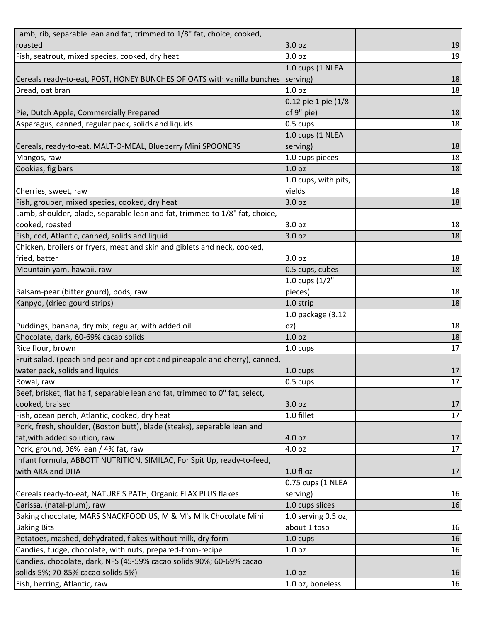| Lamb, rib, separable lean and fat, trimmed to 1/8" fat, choice, cooked,          |                      |    |
|----------------------------------------------------------------------------------|----------------------|----|
| roasted                                                                          | 3.0 <sub>oz</sub>    | 19 |
| Fish, seatrout, mixed species, cooked, dry heat                                  | 3.0 oz               | 19 |
|                                                                                  | 1.0 cups (1 NLEA     |    |
| Cereals ready-to-eat, POST, HONEY BUNCHES OF OATS with vanilla bunches (serving) |                      | 18 |
| Bread, oat bran                                                                  | 1.0 <sub>oz</sub>    | 18 |
|                                                                                  | 0.12 pie 1 pie (1/8  |    |
| Pie, Dutch Apple, Commercially Prepared                                          | of 9" pie)           | 18 |
| Asparagus, canned, regular pack, solids and liquids                              | 0.5 cups             | 18 |
|                                                                                  | 1.0 cups (1 NLEA     |    |
| Cereals, ready-to-eat, MALT-O-MEAL, Blueberry Mini SPOONERS                      | serving)             | 18 |
| Mangos, raw                                                                      | 1.0 cups pieces      | 18 |
| Cookies, fig bars                                                                | 1.0 <sub>oz</sub>    | 18 |
|                                                                                  | 1.0 cups, with pits, |    |
| Cherries, sweet, raw                                                             | yields               | 18 |
| Fish, grouper, mixed species, cooked, dry heat                                   | 3.0 oz               | 18 |
| Lamb, shoulder, blade, separable lean and fat, trimmed to 1/8" fat, choice,      |                      |    |
| cooked, roasted                                                                  | 3.0 oz               | 18 |
| Fish, cod, Atlantic, canned, solids and liquid                                   | 3.0 <sub>oz</sub>    | 18 |
| Chicken, broilers or fryers, meat and skin and giblets and neck, cooked,         |                      |    |
| fried, batter                                                                    | 3.0 oz               | 18 |
| Mountain yam, hawaii, raw                                                        | 0.5 cups, cubes      | 18 |
|                                                                                  | 1.0 cups $(1/2"$     |    |
| Balsam-pear (bitter gourd), pods, raw                                            | pieces)              | 18 |
| Kanpyo, (dried gourd strips)                                                     | 1.0 strip            | 18 |
|                                                                                  | 1.0 package (3.12    |    |
| Puddings, banana, dry mix, regular, with added oil                               | oz)                  | 18 |
| Chocolate, dark, 60-69% cacao solids                                             | 1.0 <sub>oz</sub>    | 18 |
| Rice flour, brown                                                                | 1.0 cups             | 17 |
| Fruit salad, (peach and pear and apricot and pineapple and cherry), canned,      |                      |    |
| water pack, solids and liquids                                                   | 1.0 cups             | 17 |
| Rowal, raw                                                                       | 0.5 cups             | 17 |
| Beef, brisket, flat half, separable lean and fat, trimmed to 0" fat, select,     |                      |    |
| cooked, braised                                                                  | 3.0 oz               | 17 |
| Fish, ocean perch, Atlantic, cooked, dry heat                                    |                      |    |
| Pork, fresh, shoulder, (Boston butt), blade (steaks), separable lean and         | 1.0 fillet           | 17 |
|                                                                                  |                      |    |
| fat, with added solution, raw                                                    | 4.0 oz               | 17 |
| Pork, ground, 96% lean / 4% fat, raw                                             | 4.0 oz               | 17 |
| Infant formula, ABBOTT NUTRITION, SIMILAC, For Spit Up, ready-to-feed,           |                      |    |
| with ARA and DHA                                                                 | $1.0 f$ l oz         | 17 |
|                                                                                  | 0.75 cups (1 NLEA    |    |
| Cereals ready-to-eat, NATURE'S PATH, Organic FLAX PLUS flakes                    | serving)             | 16 |
| Carissa, (natal-plum), raw                                                       | 1.0 cups slices      | 16 |
| Baking chocolate, MARS SNACKFOOD US, M & M's Milk Chocolate Mini                 | 1.0 serving 0.5 oz,  |    |
| <b>Baking Bits</b>                                                               | about 1 tbsp         | 16 |
| Potatoes, mashed, dehydrated, flakes without milk, dry form                      | 1.0 cups             | 16 |
| Candies, fudge, chocolate, with nuts, prepared-from-recipe                       | 1.0 <sub>oz</sub>    | 16 |
| Candies, chocolate, dark, NFS (45-59% cacao solids 90%; 60-69% cacao             |                      |    |
| solids 5%; 70-85% cacao solids 5%)                                               | 1.0 oz               | 16 |
| Fish, herring, Atlantic, raw                                                     | 1.0 oz, boneless     | 16 |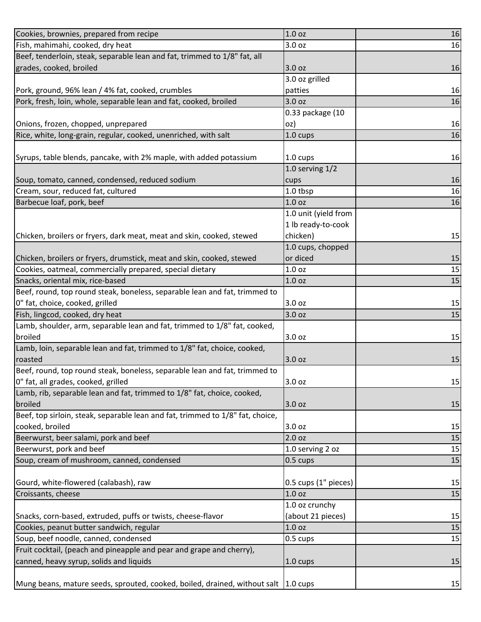| Cookies, brownies, prepared from recipe                                              | 1.0 <sub>oz</sub>    | 16 |
|--------------------------------------------------------------------------------------|----------------------|----|
| Fish, mahimahi, cooked, dry heat                                                     | 3.0 oz               | 16 |
| Beef, tenderloin, steak, separable lean and fat, trimmed to 1/8" fat, all            |                      |    |
| grades, cooked, broiled                                                              | 3.0 oz               | 16 |
|                                                                                      | 3.0 oz grilled       |    |
| Pork, ground, 96% lean / 4% fat, cooked, crumbles                                    | patties              | 16 |
| Pork, fresh, loin, whole, separable lean and fat, cooked, broiled                    | 3.0 oz               | 16 |
|                                                                                      | 0.33 package (10     |    |
| Onions, frozen, chopped, unprepared                                                  | oz)                  | 16 |
| Rice, white, long-grain, regular, cooked, unenriched, with salt                      | 1.0 cups             | 16 |
|                                                                                      |                      |    |
| Syrups, table blends, pancake, with 2% maple, with added potassium                   | 1.0 cups             | 16 |
|                                                                                      | 1.0 serving $1/2$    |    |
| Soup, tomato, canned, condensed, reduced sodium                                      | cups                 | 16 |
| Cream, sour, reduced fat, cultured                                                   | 1.0 tbsp             | 16 |
| Barbecue loaf, pork, beef                                                            | 1.0 <sub>oz</sub>    | 16 |
|                                                                                      | 1.0 unit (yield from |    |
|                                                                                      | 1 lb ready-to-cook   |    |
| Chicken, broilers or fryers, dark meat, meat and skin, cooked, stewed                | chicken)             | 15 |
|                                                                                      | 1.0 cups, chopped    |    |
| Chicken, broilers or fryers, drumstick, meat and skin, cooked, stewed                | or diced             | 15 |
| Cookies, oatmeal, commercially prepared, special dietary                             | 1.0 <sub>oz</sub>    | 15 |
| Snacks, oriental mix, rice-based                                                     | 1.0 <sub>oz</sub>    | 15 |
| Beef, round, top round steak, boneless, separable lean and fat, trimmed to           |                      |    |
| 0" fat, choice, cooked, grilled                                                      | 3.0 oz               | 15 |
| Fish, lingcod, cooked, dry heat                                                      | 3.0 oz               | 15 |
| Lamb, shoulder, arm, separable lean and fat, trimmed to 1/8" fat, cooked,            |                      |    |
| broiled                                                                              | 3.0 oz               | 15 |
| Lamb, loin, separable lean and fat, trimmed to 1/8" fat, choice, cooked,             |                      |    |
| roasted                                                                              | 3.0 oz               | 15 |
| Beef, round, top round steak, boneless, separable lean and fat, trimmed to           |                      |    |
| 0" fat, all grades, cooked, grilled                                                  | 3.0 oz               | 15 |
| Lamb, rib, separable lean and fat, trimmed to 1/8" fat, choice, cooked,              |                      |    |
| broiled                                                                              | 3.0 oz               | 15 |
| Beef, top sirloin, steak, separable lean and fat, trimmed to 1/8" fat, choice,       |                      |    |
| cooked, broiled                                                                      | 3.0 oz               | 15 |
| Beerwurst, beer salami, pork and beef                                                | 2.0 oz               | 15 |
| Beerwurst, pork and beef                                                             | 1.0 serving 2 oz     | 15 |
| Soup, cream of mushroom, canned, condensed                                           | 0.5 cups             | 15 |
|                                                                                      |                      |    |
| Gourd, white-flowered (calabash), raw                                                | 0.5 cups (1" pieces) | 15 |
| Croissants, cheese                                                                   | 1.0 <sub>oz</sub>    | 15 |
|                                                                                      |                      |    |
|                                                                                      | 1.0 oz crunchy       |    |
| Snacks, corn-based, extruded, puffs or twists, cheese-flavor                         | (about 21 pieces)    | 15 |
| Cookies, peanut butter sandwich, regular                                             | 1.0 <sub>oz</sub>    | 15 |
| Soup, beef noodle, canned, condensed                                                 | 0.5 cups             | 15 |
| Fruit cocktail, (peach and pineapple and pear and grape and cherry),                 |                      |    |
| canned, heavy syrup, solids and liquids                                              | 1.0 cups             | 15 |
| Mung beans, mature seeds, sprouted, cooked, boiled, drained, without salt   1.0 cups |                      | 15 |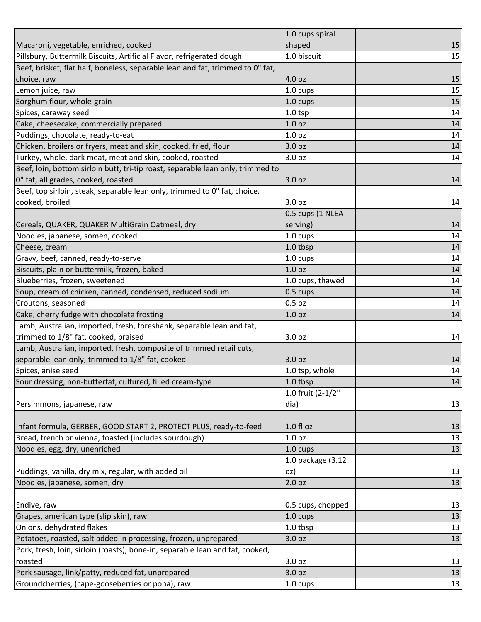|                                                                                 | 1.0 cups spiral    |    |
|---------------------------------------------------------------------------------|--------------------|----|
| Macaroni, vegetable, enriched, cooked                                           | shaped             | 15 |
| Pillsbury, Buttermilk Biscuits, Artificial Flavor, refrigerated dough           | 1.0 biscuit        | 15 |
| Beef, brisket, flat half, boneless, separable lean and fat, trimmed to 0" fat,  |                    |    |
| choice, raw                                                                     | 4.0 oz             | 15 |
| Lemon juice, raw                                                                | 1.0 cups           | 15 |
| Sorghum flour, whole-grain                                                      | 1.0 cups           | 15 |
| Spices, caraway seed                                                            | $1.0$ tsp          | 14 |
| Cake, cheesecake, commercially prepared                                         | 1.0 <sub>oz</sub>  | 14 |
| Puddings, chocolate, ready-to-eat                                               | 1.0 <sub>oz</sub>  | 14 |
| Chicken, broilers or fryers, meat and skin, cooked, fried, flour                | 3.0 <sub>oz</sub>  | 14 |
| Turkey, whole, dark meat, meat and skin, cooked, roasted                        | 3.0 oz             | 14 |
| Beef, loin, bottom sirloin butt, tri-tip roast, separable lean only, trimmed to |                    |    |
| 0" fat, all grades, cooked, roasted                                             | 3.0 oz             | 14 |
| Beef, top sirloin, steak, separable lean only, trimmed to 0" fat, choice,       |                    |    |
| cooked, broiled                                                                 | 3.0 oz             | 14 |
|                                                                                 | 0.5 cups (1 NLEA   |    |
| Cereals, QUAKER, QUAKER MultiGrain Oatmeal, dry                                 | serving)           | 14 |
| Noodles, japanese, somen, cooked                                                | 1.0 cups           | 14 |
| Cheese, cream                                                                   | 1.0 tbsp           | 14 |
| Gravy, beef, canned, ready-to-serve                                             | $1.0 \text{ cups}$ | 14 |
| Biscuits, plain or buttermilk, frozen, baked                                    | 1.0 <sub>oz</sub>  | 14 |
| Blueberries, frozen, sweetened                                                  | 1.0 cups, thawed   | 14 |
| Soup, cream of chicken, canned, condensed, reduced sodium                       | 0.5 cups           | 14 |
| Croutons, seasoned                                                              | 0.5 <sub>oz</sub>  | 14 |
| Cake, cherry fudge with chocolate frosting                                      | 1.0 <sub>oz</sub>  | 14 |
| Lamb, Australian, imported, fresh, foreshank, separable lean and fat,           |                    |    |
| trimmed to 1/8" fat, cooked, braised                                            | 3.0 oz             | 14 |
| Lamb, Australian, imported, fresh, composite of trimmed retail cuts,            |                    |    |
| separable lean only, trimmed to 1/8" fat, cooked                                | 3.0 oz             | 14 |
| Spices, anise seed                                                              | 1.0 tsp, whole     | 14 |
| Sour dressing, non-butterfat, cultured, filled cream-type                       | 1.0 tbsp           | 14 |
|                                                                                 | 1.0 fruit (2-1/2"  |    |
| Persimmons, japanese, raw                                                       | dia)               | 13 |
|                                                                                 |                    |    |
| Infant formula, GERBER, GOOD START 2, PROTECT PLUS, ready-to-feed               | $1.0 f$ l oz       | 13 |
| Bread, french or vienna, toasted (includes sourdough)                           | 1.0 oz             | 13 |
| Noodles, egg, dry, unenriched                                                   | 1.0 cups           | 13 |
|                                                                                 | 1.0 package (3.12  |    |
| Puddings, vanilla, dry mix, regular, with added oil                             | oz)                | 13 |
| Noodles, japanese, somen, dry                                                   | 2.0 <sub>oz</sub>  | 13 |
|                                                                                 |                    |    |
| Endive, raw                                                                     | 0.5 cups, chopped  | 13 |
| Grapes, american type (slip skin), raw                                          | 1.0 cups           | 13 |
| Onions, dehydrated flakes                                                       | 1.0 tbsp           | 13 |
| Potatoes, roasted, salt added in processing, frozen, unprepared                 | 3.0 oz             | 13 |
| Pork, fresh, loin, sirloin (roasts), bone-in, separable lean and fat, cooked,   |                    |    |
| roasted                                                                         | 3.0 oz             | 13 |
| Pork sausage, link/patty, reduced fat, unprepared                               | 3.0 oz             | 13 |
| Groundcherries, (cape-gooseberries or poha), raw                                | 1.0 cups           | 13 |
|                                                                                 |                    |    |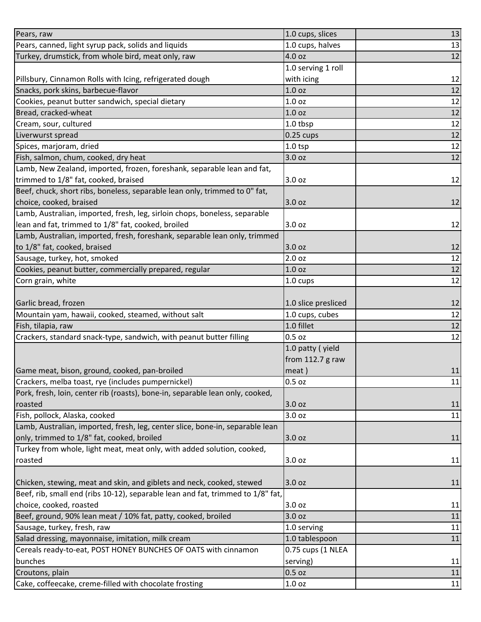| Pears, raw                                                                      | 1.0 cups, slices    | 13 |
|---------------------------------------------------------------------------------|---------------------|----|
| Pears, canned, light syrup pack, solids and liquids                             | 1.0 cups, halves    | 13 |
| Turkey, drumstick, from whole bird, meat only, raw                              | 4.0 oz              | 12 |
|                                                                                 | 1.0 serving 1 roll  |    |
| Pillsbury, Cinnamon Rolls with Icing, refrigerated dough                        | with icing          | 12 |
| Snacks, pork skins, barbecue-flavor                                             | 1.0 <sub>oz</sub>   | 12 |
| Cookies, peanut butter sandwich, special dietary                                | 1.0 <sub>oz</sub>   | 12 |
| Bread, cracked-wheat                                                            | 1.0 <sub>oz</sub>   | 12 |
| Cream, sour, cultured                                                           | 1.0 tbsp            | 12 |
| Liverwurst spread                                                               | $0.25$ cups         | 12 |
| Spices, marjoram, dried                                                         | $1.0$ tsp           | 12 |
| Fish, salmon, chum, cooked, dry heat                                            | 3.0 oz              | 12 |
| Lamb, New Zealand, imported, frozen, foreshank, separable lean and fat,         |                     |    |
| trimmed to 1/8" fat, cooked, braised                                            | 3.0 oz              | 12 |
| Beef, chuck, short ribs, boneless, separable lean only, trimmed to 0" fat,      |                     |    |
| choice, cooked, braised                                                         | 3.0 oz              | 12 |
| Lamb, Australian, imported, fresh, leg, sirloin chops, boneless, separable      |                     |    |
| lean and fat, trimmed to 1/8" fat, cooked, broiled                              | 3.0 oz              | 12 |
| Lamb, Australian, imported, fresh, foreshank, separable lean only, trimmed      |                     |    |
| to 1/8" fat, cooked, braised                                                    | 3.0 oz              | 12 |
| Sausage, turkey, hot, smoked                                                    | 2.0 oz              | 12 |
| Cookies, peanut butter, commercially prepared, regular                          | 1.0 oz              | 12 |
| Corn grain, white                                                               | 1.0 cups            | 12 |
|                                                                                 |                     |    |
| Garlic bread, frozen                                                            | 1.0 slice presliced | 12 |
| Mountain yam, hawaii, cooked, steamed, without salt                             | 1.0 cups, cubes     | 12 |
| Fish, tilapia, raw                                                              | 1.0 fillet          | 12 |
| Crackers, standard snack-type, sandwich, with peanut butter filling             | 0.5 oz              | 12 |
|                                                                                 | 1.0 patty (yield    |    |
|                                                                                 | from 112.7 g raw    |    |
| Game meat, bison, ground, cooked, pan-broiled                                   | meat)               | 11 |
| Crackers, melba toast, rye (includes pumpernickel)                              | 0.5 oz              | 11 |
| Pork, fresh, loin, center rib (roasts), bone-in, separable lean only, cooked,   |                     |    |
| roasted                                                                         | 3.0 oz              | 11 |
| Fish, pollock, Alaska, cooked                                                   | 3.0 oz              | 11 |
| Lamb, Australian, imported, fresh, leg, center slice, bone-in, separable lean   |                     |    |
| only, trimmed to 1/8" fat, cooked, broiled                                      | 3.0 oz              | 11 |
| Turkey from whole, light meat, meat only, with added solution, cooked,          |                     |    |
| roasted                                                                         | 3.0 oz              | 11 |
|                                                                                 |                     |    |
| Chicken, stewing, meat and skin, and giblets and neck, cooked, stewed           | 3.0 oz              | 11 |
| Beef, rib, small end (ribs 10-12), separable lean and fat, trimmed to 1/8" fat, |                     |    |
| choice, cooked, roasted                                                         | 3.0 oz              | 11 |
| Beef, ground, 90% lean meat / 10% fat, patty, cooked, broiled                   | 3.0 oz              | 11 |
| Sausage, turkey, fresh, raw                                                     | 1.0 serving         | 11 |
| Salad dressing, mayonnaise, imitation, milk cream                               | 1.0 tablespoon      | 11 |
| Cereals ready-to-eat, POST HONEY BUNCHES OF OATS with cinnamon                  | 0.75 cups (1 NLEA   |    |
| bunches                                                                         | serving)            | 11 |
| Croutons, plain                                                                 | 0.5 oz              | 11 |
| Cake, coffeecake, creme-filled with chocolate frosting                          | 1.0 <sub>oz</sub>   | 11 |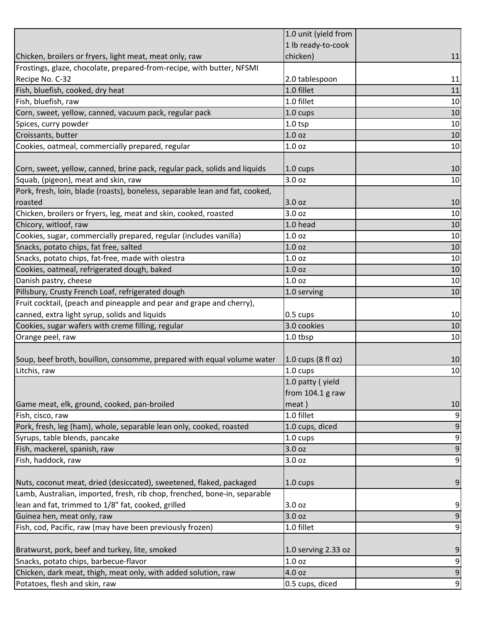|                                                                              | 1.0 unit (yield from |                |
|------------------------------------------------------------------------------|----------------------|----------------|
|                                                                              | 1 lb ready-to-cook   |                |
| Chicken, broilers or fryers, light meat, meat only, raw                      | chicken)             | 11             |
| Frostings, glaze, chocolate, prepared-from-recipe, with butter, NFSMI        |                      |                |
| Recipe No. C-32                                                              | 2.0 tablespoon       | 11             |
| Fish, bluefish, cooked, dry heat                                             | 1.0 fillet           | 11             |
| Fish, bluefish, raw                                                          | 1.0 fillet           | 10             |
| Corn, sweet, yellow, canned, vacuum pack, regular pack                       | 1.0 cups             | 10             |
| Spices, curry powder                                                         | $1.0$ tsp            | 10             |
| Croissants, butter                                                           | 1.0 <sub>oz</sub>    | 10             |
| Cookies, oatmeal, commercially prepared, regular                             | 1.0 <sub>oz</sub>    | 10             |
|                                                                              |                      |                |
| Corn, sweet, yellow, canned, brine pack, regular pack, solids and liquids    | $1.0 \text{ cups}$   | 10             |
| Squab, (pigeon), meat and skin, raw                                          | 3.0 oz               | 10             |
| Pork, fresh, loin, blade (roasts), boneless, separable lean and fat, cooked, |                      |                |
| roasted                                                                      | 3.0 oz               | 10             |
| Chicken, broilers or fryers, leg, meat and skin, cooked, roasted             | 3.0 <sub>oz</sub>    | 10             |
| Chicory, witloof, raw                                                        | 1.0 head             | 10             |
| Cookies, sugar, commercially prepared, regular (includes vanilla)            | 1.0 <sub>oz</sub>    | 10             |
| Snacks, potato chips, fat free, salted                                       | 1.0 <sub>oz</sub>    | 10             |
| Snacks, potato chips, fat-free, made with olestra                            | 1.0 <sub>oz</sub>    | 10             |
| Cookies, oatmeal, refrigerated dough, baked                                  | 1.0 <sub>oz</sub>    | 10             |
| Danish pastry, cheese                                                        | 1.0 <sub>oz</sub>    | 10             |
| Pillsbury, Crusty French Loaf, refrigerated dough                            | 1.0 serving          | 10             |
| Fruit cocktail, (peach and pineapple and pear and grape and cherry),         |                      |                |
| canned, extra light syrup, solids and liquids                                | 0.5 cups             | 10             |
| Cookies, sugar wafers with creme filling, regular                            | 3.0 cookies          | 10             |
| Orange peel, raw                                                             | 1.0 tbsp             | 10             |
|                                                                              |                      |                |
| Soup, beef broth, bouillon, consomme, prepared with equal volume water       | 1.0 cups (8 fl oz)   | 10             |
| Litchis, raw                                                                 | 1.0 cups             | 10             |
|                                                                              | 1.0 patty (yield     |                |
|                                                                              | from $104.1$ g raw   |                |
| Game meat, elk, ground, cooked, pan-broiled                                  | meat)                | 10             |
| Fish, cisco, raw                                                             | 1.0 fillet           | 9              |
| Pork, fresh, leg (ham), whole, separable lean only, cooked, roasted          | 1.0 cups, diced      | 9              |
| Syrups, table blends, pancake                                                | 1.0 cups             | 9              |
| Fish, mackerel, spanish, raw                                                 | 3.0 oz               | 9              |
| Fish, haddock, raw                                                           | 3.0 oz               | $\overline{9}$ |
|                                                                              |                      |                |
| Nuts, coconut meat, dried (desiccated), sweetened, flaked, packaged          | $1.0 \text{ cups}$   | 9              |
| Lamb, Australian, imported, fresh, rib chop, frenched, bone-in, separable    |                      |                |
| lean and fat, trimmed to 1/8" fat, cooked, grilled                           | 3.0 oz               | 9              |
| Guinea hen, meat only, raw                                                   | 3.0 oz               | 9              |
| Fish, cod, Pacific, raw (may have been previously frozen)                    | 1.0 fillet           | $\overline{9}$ |
|                                                                              |                      |                |
| Bratwurst, pork, beef and turkey, lite, smoked                               | 1.0 serving 2.33 oz  | 9              |
| Snacks, potato chips, barbecue-flavor                                        | 1.0 <sub>oz</sub>    | 9              |
| Chicken, dark meat, thigh, meat only, with added solution, raw               | 4.0 oz               | $\overline{9}$ |
| Potatoes, flesh and skin, raw                                                | 0.5 cups, diced      | 9              |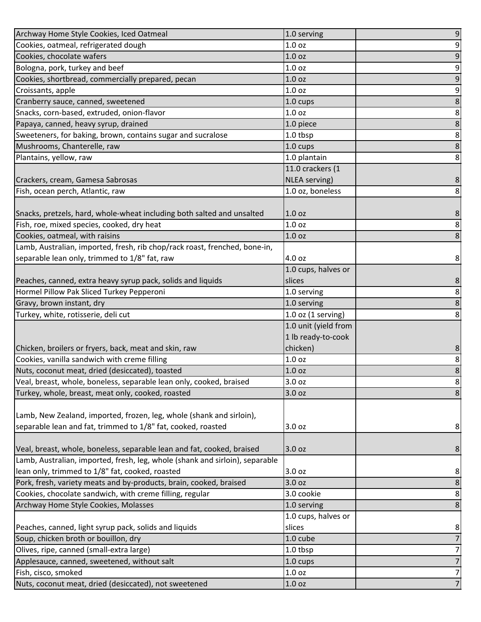| Archway Home Style Cookies, Iced Oatmeal                                     | 1.0 serving            | 9              |
|------------------------------------------------------------------------------|------------------------|----------------|
| Cookies, oatmeal, refrigerated dough                                         | 1.0 <sub>oz</sub>      | 9              |
| Cookies, chocolate wafers                                                    | 1.0 <sub>oz</sub>      | 9              |
| Bologna, pork, turkey and beef                                               | 1.0 oz                 | 9              |
| Cookies, shortbread, commercially prepared, pecan                            | 1.0 <sub>oz</sub>      | $\mathsf 9$    |
| Croissants, apple                                                            | 1.0 <sub>oz</sub>      | 9              |
| Cranberry sauce, canned, sweetened                                           | 1.0 cups               | 8              |
| Snacks, corn-based, extruded, onion-flavor                                   | 1.0 <sub>oz</sub>      | 8              |
| Papaya, canned, heavy syrup, drained                                         | 1.0 piece              | $\bf 8$        |
| Sweeteners, for baking, brown, contains sugar and sucralose                  | 1.0 tbsp               | 8              |
| Mushrooms, Chanterelle, raw                                                  | 1.0 cups               | 8              |
| Plantains, yellow, raw                                                       | 1.0 plantain           | 8              |
|                                                                              | 11.0 crackers (1       |                |
| Crackers, cream, Gamesa Sabrosas                                             | NLEA serving)          | 8              |
| Fish, ocean perch, Atlantic, raw                                             | 1.0 oz, boneless       | 8              |
|                                                                              |                        |                |
| Snacks, pretzels, hard, whole-wheat including both salted and unsalted       | 1.0 <sub>oz</sub>      | 8              |
| Fish, roe, mixed species, cooked, dry heat                                   | 1.0 <sub>oz</sub>      | 8              |
| Cookies, oatmeal, with raisins                                               | 1.0 <sub>oz</sub>      | 8              |
| Lamb, Australian, imported, fresh, rib chop/rack roast, frenched, bone-in,   |                        |                |
| separable lean only, trimmed to 1/8" fat, raw                                | 4.0 oz                 | 8              |
|                                                                              | 1.0 cups, halves or    |                |
| Peaches, canned, extra heavy syrup pack, solids and liquids                  | slices                 | 8              |
| Hormel Pillow Pak Sliced Turkey Pepperoni                                    | 1.0 serving            | 8              |
| Gravy, brown instant, dry                                                    | 1.0 serving            | $\bf 8$        |
|                                                                              |                        |                |
| Turkey, white, rotisserie, deli cut                                          | $1.0$ oz $(1$ serving) | 8              |
|                                                                              | 1.0 unit (yield from   |                |
|                                                                              | 1 lb ready-to-cook     |                |
| Chicken, broilers or fryers, back, meat and skin, raw                        | chicken)               | 8              |
| Cookies, vanilla sandwich with creme filling                                 | 1.0 <sub>oz</sub>      | 8              |
| Nuts, coconut meat, dried (desiccated), toasted                              | 1.0 <sub>oz</sub>      | $\bf 8$        |
| Veal, breast, whole, boneless, separable lean only, cooked, braised          | 3.0 oz                 | 8 <sup>1</sup> |
| Turkey, whole, breast, meat only, cooked, roasted                            | 3.0 oz                 | 8              |
|                                                                              |                        |                |
| Lamb, New Zealand, imported, frozen, leg, whole (shank and sirloin),         |                        |                |
| separable lean and fat, trimmed to 1/8" fat, cooked, roasted                 | 3.0 oz                 | 8              |
|                                                                              |                        |                |
| Veal, breast, whole, boneless, separable lean and fat, cooked, braised       | 3.0 oz                 | 8              |
| Lamb, Australian, imported, fresh, leg, whole (shank and sirloin), separable |                        |                |
| lean only, trimmed to 1/8" fat, cooked, roasted                              | 3.0 oz                 | 8              |
| Pork, fresh, variety meats and by-products, brain, cooked, braised           | 3.0 oz                 | $\bf 8$        |
| Cookies, chocolate sandwich, with creme filling, regular                     | 3.0 cookie             | 8              |
| Archway Home Style Cookies, Molasses                                         | 1.0 serving            | $\bf 8$        |
|                                                                              | 1.0 cups, halves or    |                |
| Peaches, canned, light syrup pack, solids and liquids                        | slices                 | 8              |
| Soup, chicken broth or bouillon, dry                                         | 1.0 cube               | $\overline{7}$ |
| Olives, ripe, canned (small-extra large)                                     | 1.0 tbsp               | $\overline{7}$ |
| Applesauce, canned, sweetened, without salt                                  | 1.0 cups               | $\overline{7}$ |
| Fish, cisco, smoked                                                          | 1.0 <sub>oz</sub>      | $\overline{7}$ |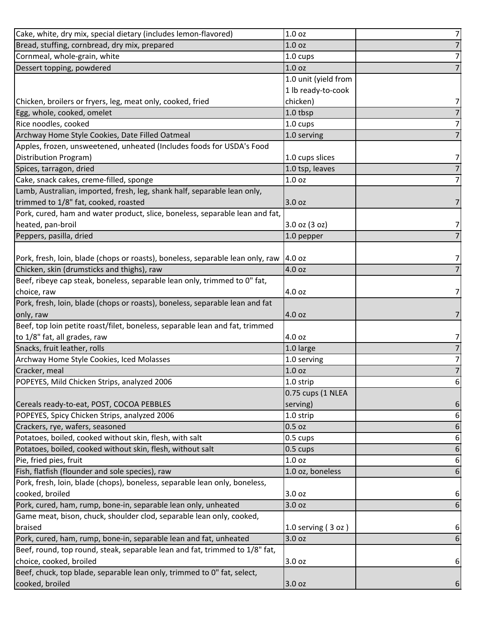| Cake, white, dry mix, special dietary (includes lemon-flavored)                | 1.0 <sub>oz</sub>    | 7              |
|--------------------------------------------------------------------------------|----------------------|----------------|
| Bread, stuffing, cornbread, dry mix, prepared                                  | 1.0 <sub>oz</sub>    | $\overline{7}$ |
| Cornmeal, whole-grain, white                                                   | 1.0 cups             | 7              |
| Dessert topping, powdered                                                      | 1.0 <sub>oz</sub>    | 7              |
|                                                                                | 1.0 unit (yield from |                |
|                                                                                | 1 lb ready-to-cook   |                |
| Chicken, broilers or fryers, leg, meat only, cooked, fried                     | chicken)             | 7              |
| Egg, whole, cooked, omelet                                                     | 1.0 tbsp             | 7              |
| Rice noodles, cooked                                                           | 1.0 cups             | 7              |
| Archway Home Style Cookies, Date Filled Oatmeal                                | 1.0 serving          |                |
| Apples, frozen, unsweetened, unheated (Includes foods for USDA's Food          |                      |                |
| Distribution Program)                                                          | 1.0 cups slices      | 7              |
| Spices, tarragon, dried                                                        | 1.0 tsp, leaves      | 7              |
| Cake, snack cakes, creme-filled, sponge                                        | 1.0 <sub>oz</sub>    | 7              |
| Lamb, Australian, imported, fresh, leg, shank half, separable lean only,       |                      |                |
| trimmed to 1/8" fat, cooked, roasted                                           | 3.0 oz               |                |
| Pork, cured, ham and water product, slice, boneless, separable lean and fat,   |                      |                |
| heated, pan-broil                                                              | 3.0 oz (3 oz)        | 7              |
| Peppers, pasilla, dried                                                        | 1.0 pepper           |                |
|                                                                                |                      |                |
| Pork, fresh, loin, blade (chops or roasts), boneless, separable lean only, raw | 4.0 oz               | 7              |
| Chicken, skin (drumsticks and thighs), raw                                     | 4.0 oz               |                |
| Beef, ribeye cap steak, boneless, separable lean only, trimmed to 0" fat,      |                      |                |
| choice, raw                                                                    | 4.0 oz               | 7              |
| Pork, fresh, loin, blade (chops or roasts), boneless, separable lean and fat   |                      |                |
| only, raw                                                                      | 4.0 oz               |                |
| Beef, top loin petite roast/filet, boneless, separable lean and fat, trimmed   |                      |                |
| to 1/8" fat, all grades, raw                                                   | 4.0 oz               | 7              |
| Snacks, fruit leather, rolls                                                   | 1.0 large            | $\overline{7}$ |
| Archway Home Style Cookies, Iced Molasses                                      | 1.0 serving          | 7              |
| Cracker, meal                                                                  | 1.0 <sub>oz</sub>    | $\overline{7}$ |
| POPEYES, Mild Chicken Strips, analyzed 2006                                    | 1.0 strip            | $6 \mid$       |
|                                                                                | 0.75 cups (1 NLEA    |                |
| Cereals ready-to-eat, POST, COCOA PEBBLES                                      | serving)             | 6              |
| POPEYES, Spicy Chicken Strips, analyzed 2006                                   | 1.0 strip            | 6              |
| Crackers, rye, wafers, seasoned                                                | $0.5$ oz             | 6              |
| Potatoes, boiled, cooked without skin, flesh, with salt                        | 0.5 cups             | 6              |
| Potatoes, boiled, cooked without skin, flesh, without salt                     | 0.5 cups             | 6              |
| Pie, fried pies, fruit                                                         | 1.0 <sub>oz</sub>    | 6              |
| Fish, flatfish (flounder and sole species), raw                                | 1.0 oz, boneless     | 6              |
| Pork, fresh, loin, blade (chops), boneless, separable lean only, boneless,     |                      |                |
| cooked, broiled                                                                | 3.0 oz               | 6              |
| Pork, cured, ham, rump, bone-in, separable lean only, unheated                 | 3.0 oz               | 6              |
| Game meat, bison, chuck, shoulder clod, separable lean only, cooked,           |                      |                |
| braised                                                                        | 1.0 serving $(3 oz)$ | 6              |
| Pork, cured, ham, rump, bone-in, separable lean and fat, unheated              | 3.0 oz               | 6              |
| Beef, round, top round, steak, separable lean and fat, trimmed to 1/8" fat,    |                      |                |
| choice, cooked, broiled                                                        | 3.0 oz               | 6              |
| Beef, chuck, top blade, separable lean only, trimmed to 0" fat, select,        |                      |                |
| cooked, broiled                                                                | 3.0 oz               | 6              |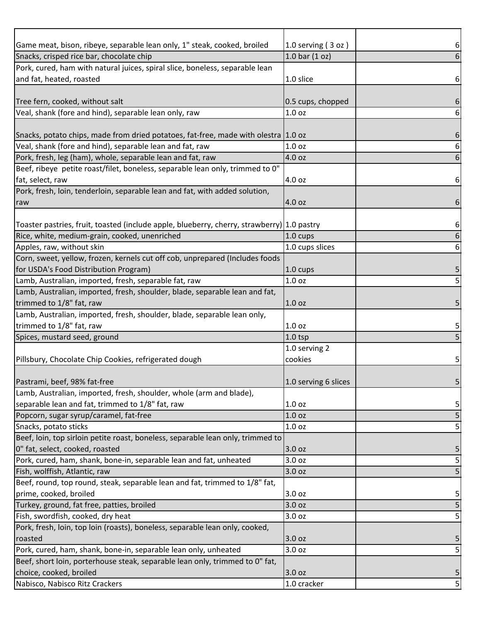| Game meat, bison, ribeye, separable lean only, 1" steak, cooked, broiled                   | 1.0 serving $(3 oz)$ | 6              |
|--------------------------------------------------------------------------------------------|----------------------|----------------|
| Snacks, crisped rice bar, chocolate chip                                                   | $1.0$ bar $(1$ oz)   |                |
| Pork, cured, ham with natural juices, spiral slice, boneless, separable lean               |                      |                |
| and fat, heated, roasted                                                                   | 1.0 slice            | 6              |
|                                                                                            |                      |                |
| Tree fern, cooked, without salt                                                            | 0.5 cups, chopped    | 6              |
| Veal, shank (fore and hind), separable lean only, raw                                      | 1.0 <sub>oz</sub>    | 6              |
|                                                                                            |                      |                |
| Snacks, potato chips, made from dried potatoes, fat-free, made with olestra 1.0 oz         |                      | 6              |
| Veal, shank (fore and hind), separable lean and fat, raw                                   | 1.0 <sub>oz</sub>    | 6              |
| Pork, fresh, leg (ham), whole, separable lean and fat, raw                                 | 4.0 oz               | 6              |
| Beef, ribeye petite roast/filet, boneless, separable lean only, trimmed to 0"              |                      |                |
| fat, select, raw                                                                           | 4.0 oz               | 6              |
| Pork, fresh, loin, tenderloin, separable lean and fat, with added solution,                |                      |                |
| raw                                                                                        | 4.0 oz               | 6              |
|                                                                                            |                      |                |
| Toaster pastries, fruit, toasted (include apple, blueberry, cherry, strawberry) 1.0 pastry |                      | 6              |
| Rice, white, medium-grain, cooked, unenriched                                              | $1.0 \text{ cups}$   | 6              |
| Apples, raw, without skin                                                                  | 1.0 cups slices      | 6              |
| Corn, sweet, yellow, frozen, kernels cut off cob, unprepared (Includes foods               |                      |                |
| for USDA's Food Distribution Program)                                                      | $1.0 \text{ cups}$   | 5              |
| Lamb, Australian, imported, fresh, separable fat, raw                                      | 1.0 <sub>oz</sub>    | 5              |
| Lamb, Australian, imported, fresh, shoulder, blade, separable lean and fat,                |                      |                |
| trimmed to 1/8" fat, raw                                                                   | 1.0 <sub>oz</sub>    | 5              |
| Lamb, Australian, imported, fresh, shoulder, blade, separable lean only,                   |                      |                |
| trimmed to 1/8" fat, raw                                                                   | 1.0 <sub>oz</sub>    | 5              |
| Spices, mustard seed, ground                                                               | $1.0$ tsp            |                |
|                                                                                            | 1.0 serving 2        |                |
| Pillsbury, Chocolate Chip Cookies, refrigerated dough                                      | cookies              |                |
|                                                                                            |                      |                |
| Pastrami, beef, 98% fat-free                                                               | 1.0 serving 6 slices | 5 <sup>1</sup> |
| Lamb, Australian, imported, fresh, shoulder, whole (arm and blade),                        |                      |                |
| separable lean and fat, trimmed to 1/8" fat, raw                                           | 1.0 <sub>oz</sub>    |                |
|                                                                                            | 1.0 <sub>oz</sub>    | 5              |
| Popcorn, sugar syrup/caramel, fat-free                                                     |                      | 5              |
| Snacks, potato sticks                                                                      | 1.0 <sub>oz</sub>    | 5              |
| Beef, loin, top sirloin petite roast, boneless, separable lean only, trimmed to            |                      |                |
| 0" fat, select, cooked, roasted                                                            | 3.0 oz               | 5              |
| Pork, cured, ham, shank, bone-in, separable lean and fat, unheated                         | 3.0 oz               | 5              |
| Fish, wolffish, Atlantic, raw                                                              | 3.0 oz               |                |
| Beef, round, top round, steak, separable lean and fat, trimmed to 1/8" fat,                |                      |                |
| prime, cooked, broiled                                                                     | 3.0 oz               | 5              |
| Turkey, ground, fat free, patties, broiled                                                 | 3.0 oz               | 5              |
| Fish, swordfish, cooked, dry heat                                                          | 3.0 oz               | 5              |
| Pork, fresh, loin, top loin (roasts), boneless, separable lean only, cooked,               |                      |                |
| roasted                                                                                    | 3.0 oz               | 5              |
| Pork, cured, ham, shank, bone-in, separable lean only, unheated                            | 3.0 oz               | 5              |
| Beef, short loin, porterhouse steak, separable lean only, trimmed to 0" fat,               |                      |                |
| choice, cooked, broiled                                                                    | 3.0 oz               | 5              |
| Nabisco, Nabisco Ritz Crackers                                                             | 1.0 cracker          | $\mathsf{5}$   |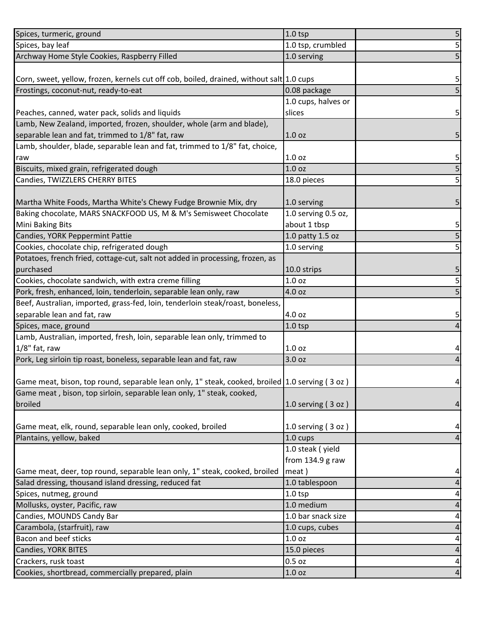| Spices, turmeric, ground                                                                       | $1.0$ tsp            | 5               |
|------------------------------------------------------------------------------------------------|----------------------|-----------------|
| Spices, bay leaf                                                                               | 1.0 tsp, crumbled    | 5               |
| Archway Home Style Cookies, Raspberry Filled                                                   | 1.0 serving          | 5               |
|                                                                                                |                      |                 |
| Corn, sweet, yellow, frozen, kernels cut off cob, boiled, drained, without salt 1.0 cups       |                      | 5               |
| Frostings, coconut-nut, ready-to-eat                                                           | 0.08 package         | 5               |
|                                                                                                | 1.0 cups, halves or  |                 |
| Peaches, canned, water pack, solids and liquids                                                | slices               | 5               |
| Lamb, New Zealand, imported, frozen, shoulder, whole (arm and blade),                          |                      |                 |
| separable lean and fat, trimmed to 1/8" fat, raw                                               | 1.0 <sub>oz</sub>    | 5               |
| Lamb, shoulder, blade, separable lean and fat, trimmed to 1/8" fat, choice,                    |                      |                 |
| raw                                                                                            | 1.0 <sub>oz</sub>    | 5               |
| Biscuits, mixed grain, refrigerated dough                                                      | 1.0 <sub>oz</sub>    | 5               |
| Candies, TWIZZLERS CHERRY BITES                                                                | 18.0 pieces          | 5               |
|                                                                                                |                      |                 |
| Martha White Foods, Martha White's Chewy Fudge Brownie Mix, dry                                | 1.0 serving          | 5               |
| Baking chocolate, MARS SNACKFOOD US, M & M's Semisweet Chocolate                               | 1.0 serving 0.5 oz,  |                 |
| Mini Baking Bits                                                                               | about 1 tbsp         | 5               |
| Candies, YORK Peppermint Pattie                                                                | 1.0 patty 1.5 oz     | 5               |
| Cookies, chocolate chip, refrigerated dough                                                    | 1.0 serving          | 5               |
| Potatoes, french fried, cottage-cut, salt not added in processing, frozen, as                  |                      |                 |
| purchased                                                                                      | 10.0 strips          | 5               |
| Cookies, chocolate sandwich, with extra creme filling                                          | 1.0 <sub>oz</sub>    | $\mathsf{S}$    |
| Pork, fresh, enhanced, loin, tenderloin, separable lean only, raw                              | 4.0 oz               | 5               |
| Beef, Australian, imported, grass-fed, loin, tenderloin steak/roast, boneless,                 |                      |                 |
| separable lean and fat, raw                                                                    | 4.0 oz               | 5               |
| Spices, mace, ground                                                                           | $1.0$ tsp            |                 |
| Lamb, Australian, imported, fresh, loin, separable lean only, trimmed to                       |                      |                 |
| $1/8"$ fat, raw                                                                                | 1.0 <sub>oz</sub>    | 4               |
| Pork, Leg sirloin tip roast, boneless, separable lean and fat, raw                             | 3.0 oz               | 4               |
|                                                                                                |                      |                 |
| Game meat, bison, top round, separable lean only, 1" steak, cooked, broiled 1.0 serving (3 oz) |                      | $\vert 4 \vert$ |
| Game meat, bison, top sirloin, separable lean only, 1" steak, cooked,                          |                      |                 |
| broiled                                                                                        | 1.0 serving $(3 oz)$ | $\vert 4 \vert$ |
|                                                                                                |                      |                 |
| Game meat, elk, round, separable lean only, cooked, broiled                                    | 1.0 serving $(3 oz)$ | 4               |
| Plantains, yellow, baked                                                                       | 1.0 cups             | 4               |
|                                                                                                | 1.0 steak (yield     |                 |
|                                                                                                | from 134.9 g raw     |                 |
| Game meat, deer, top round, separable lean only, 1" steak, cooked, broiled                     | meat)                | 4               |
| Salad dressing, thousand island dressing, reduced fat                                          | 1.0 tablespoon       | 4               |
| Spices, nutmeg, ground                                                                         | $1.0$ tsp            | 4               |
| Mollusks, oyster, Pacific, raw                                                                 | 1.0 medium           | $\vert 4 \vert$ |
| Candies, MOUNDS Candy Bar                                                                      | 1.0 bar snack size   | 4               |
| Carambola, (starfruit), raw                                                                    | 1.0 cups, cubes      | 4               |
| Bacon and beef sticks                                                                          | 1.0 oz               | $\vert 4 \vert$ |
| Candies, YORK BITES                                                                            | 15.0 pieces          | $\vert 4 \vert$ |
| Crackers, rusk toast                                                                           | $0.5$ oz             | $\vert 4 \vert$ |
| Cookies, shortbread, commercially prepared, plain                                              | 1.0 <sub>oz</sub>    | $\overline{4}$  |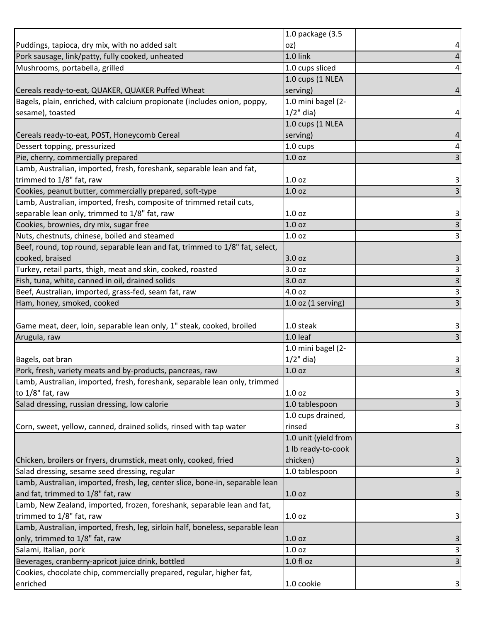|                                                                                                                   | 1.0 package (3.5       |  |
|-------------------------------------------------------------------------------------------------------------------|------------------------|--|
| Puddings, tapioca, dry mix, with no added salt                                                                    | OZ)                    |  |
| Pork sausage, link/patty, fully cooked, unheated                                                                  | 1.0 link               |  |
| Mushrooms, portabella, grilled                                                                                    | 1.0 cups sliced        |  |
|                                                                                                                   | 1.0 cups (1 NLEA       |  |
| Cereals ready-to-eat, QUAKER, QUAKER Puffed Wheat                                                                 | serving)               |  |
| Bagels, plain, enriched, with calcium propionate (includes onion, poppy,                                          | 1.0 mini bagel (2-     |  |
| sesame), toasted                                                                                                  | $1/2$ " dia)           |  |
|                                                                                                                   | 1.0 cups (1 NLEA       |  |
| Cereals ready-to-eat, POST, Honeycomb Cereal                                                                      | serving)               |  |
| Dessert topping, pressurized                                                                                      | 1.0 cups               |  |
| Pie, cherry, commercially prepared                                                                                | 1.0 <sub>oz</sub>      |  |
| Lamb, Australian, imported, fresh, foreshank, separable lean and fat,                                             |                        |  |
| trimmed to 1/8" fat, raw                                                                                          | 1.0 <sub>oz</sub>      |  |
| Cookies, peanut butter, commercially prepared, soft-type                                                          | 1.0 <sub>oz</sub>      |  |
| Lamb, Australian, imported, fresh, composite of trimmed retail cuts,                                              |                        |  |
| separable lean only, trimmed to 1/8" fat, raw                                                                     | 1.0 <sub>oz</sub>      |  |
| Cookies, brownies, dry mix, sugar free                                                                            | 1.0 <sub>oz</sub>      |  |
| Nuts, chestnuts, chinese, boiled and steamed                                                                      | 1.0 <sub>oz</sub>      |  |
| Beef, round, top round, separable lean and fat, trimmed to 1/8" fat, select,                                      |                        |  |
| cooked, braised                                                                                                   | 3.0 oz                 |  |
| Turkey, retail parts, thigh, meat and skin, cooked, roasted                                                       | 3.0 oz                 |  |
| Fish, tuna, white, canned in oil, drained solids                                                                  | 3.0 oz                 |  |
| Beef, Australian, imported, grass-fed, seam fat, raw                                                              | 4.0 oz                 |  |
| Ham, honey, smoked, cooked                                                                                        | $1.0$ oz $(1$ serving) |  |
|                                                                                                                   |                        |  |
| Game meat, deer, loin, separable lean only, 1" steak, cooked, broiled                                             | 1.0 steak              |  |
| Arugula, raw                                                                                                      | 1.0 leaf               |  |
|                                                                                                                   | 1.0 mini bagel (2-     |  |
|                                                                                                                   | $1/2$ " dia)           |  |
|                                                                                                                   |                        |  |
| Bagels, oat bran                                                                                                  |                        |  |
| Pork, fresh, variety meats and by-products, pancreas, raw                                                         | 1.0 <sub>oz</sub>      |  |
| Lamb, Australian, imported, fresh, foreshank, separable lean only, trimmed                                        |                        |  |
| to 1/8" fat, raw                                                                                                  | 1.0 <sub>oz</sub>      |  |
| Salad dressing, russian dressing, low calorie                                                                     | 1.0 tablespoon         |  |
|                                                                                                                   | 1.0 cups drained,      |  |
| Corn, sweet, yellow, canned, drained solids, rinsed with tap water                                                | rinsed                 |  |
|                                                                                                                   | 1.0 unit (yield from   |  |
|                                                                                                                   | 1 lb ready-to-cook     |  |
|                                                                                                                   | chicken)               |  |
| Chicken, broilers or fryers, drumstick, meat only, cooked, fried<br>Salad dressing, sesame seed dressing, regular | 1.0 tablespoon         |  |
| Lamb, Australian, imported, fresh, leg, center slice, bone-in, separable lean                                     |                        |  |
| and fat, trimmed to 1/8" fat, raw                                                                                 | 1.0 <sub>oz</sub>      |  |
| Lamb, New Zealand, imported, frozen, foreshank, separable lean and fat,                                           |                        |  |
| trimmed to 1/8" fat, raw                                                                                          | 1.0 <sub>oz</sub>      |  |
| Lamb, Australian, imported, fresh, leg, sirloin half, boneless, separable lean                                    |                        |  |
|                                                                                                                   | 1.0 <sub>oz</sub>      |  |
| Salami, Italian, pork                                                                                             | 1.0 <sub>oz</sub>      |  |
| only, trimmed to 1/8" fat, raw<br>Beverages, cranberry-apricot juice drink, bottled                               | $1.0 f$ l oz           |  |
| Cookies, chocolate chip, commercially prepared, regular, higher fat,<br>enriched                                  | 1.0 cookie             |  |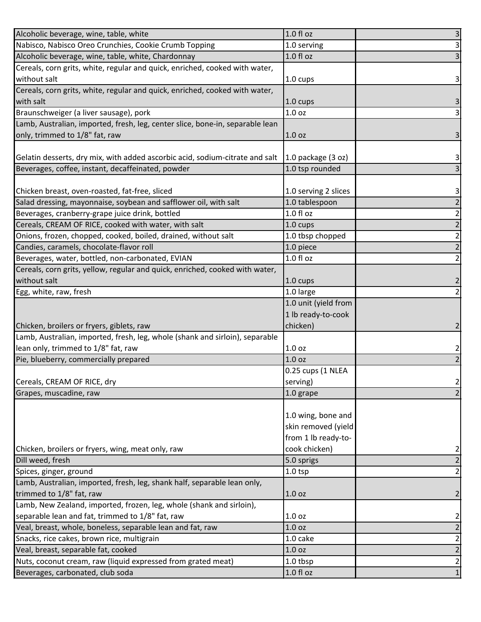| Alcoholic beverage, wine, table, white                                        | 1.0 fl oz              | $\overline{\mathbf{3}}$ |
|-------------------------------------------------------------------------------|------------------------|-------------------------|
| Nabisco, Nabisco Oreo Crunchies, Cookie Crumb Topping                         | 1.0 serving            | $\overline{\mathbf{3}}$ |
| Alcoholic beverage, wine, table, white, Chardonnay                            | $1.0 f$ l oz           | 3                       |
| Cereals, corn grits, white, regular and quick, enriched, cooked with water,   |                        |                         |
| without salt                                                                  | 1.0 cups               | 3                       |
| Cereals, corn grits, white, regular and quick, enriched, cooked with water,   |                        |                         |
| with salt                                                                     | $1.0 \text{ cups}$     | 3                       |
| Braunschweiger (a liver sausage), pork                                        | 1.0 <sub>oz</sub>      | $\overline{\mathbf{3}}$ |
| Lamb, Australian, imported, fresh, leg, center slice, bone-in, separable lean |                        |                         |
| only, trimmed to 1/8" fat, raw                                                | 1.0 <sub>oz</sub>      | 3                       |
|                                                                               |                        |                         |
| Gelatin desserts, dry mix, with added ascorbic acid, sodium-citrate and salt  | $1.0$ package $(3 oz)$ | 3                       |
| Beverages, coffee, instant, decaffeinated, powder                             | 1.0 tsp rounded        | 3                       |
|                                                                               |                        |                         |
| Chicken breast, oven-roasted, fat-free, sliced                                | 1.0 serving 2 slices   | 3                       |
| Salad dressing, mayonnaise, soybean and safflower oil, with salt              | 1.0 tablespoon         | $\overline{2}$          |
| Beverages, cranberry-grape juice drink, bottled                               | 1.0 f1 oz              | $\overline{2}$          |
| Cereals, CREAM OF RICE, cooked with water, with salt                          | 1.0 cups               | $\overline{2}$          |
| Onions, frozen, chopped, cooked, boiled, drained, without salt                | 1.0 tbsp chopped       | $\overline{2}$          |
| Candies, caramels, chocolate-flavor roll                                      | 1.0 piece              | $\overline{2}$          |
| Beverages, water, bottled, non-carbonated, EVIAN                              | 1.0 fl oz              | $\mathbf{2}$            |
| Cereals, corn grits, yellow, regular and quick, enriched, cooked with water,  |                        |                         |
| without salt                                                                  | 1.0 cups               | 2                       |
| Egg, white, raw, fresh                                                        | 1.0 large              | $\overline{2}$          |
|                                                                               | 1.0 unit (yield from   |                         |
|                                                                               | 1 lb ready-to-cook     |                         |
| Chicken, broilers or fryers, giblets, raw                                     | chicken)               |                         |
| Lamb, Australian, imported, fresh, leg, whole (shank and sirloin), separable  |                        |                         |
| lean only, trimmed to 1/8" fat, raw                                           | 1.0 <sub>oz</sub>      | 2                       |
| Pie, blueberry, commercially prepared                                         | 1.0 <sub>oz</sub>      |                         |
|                                                                               | 0.25 cups (1 NLEA      |                         |
| Cereals, CREAM OF RICE, dry                                                   | serving)               | $\overline{2}$          |
| Grapes, muscadine, raw                                                        | 1.0 grape              | $\overline{2}$          |
|                                                                               |                        |                         |
|                                                                               | 1.0 wing, bone and     |                         |
|                                                                               | skin removed (yield    |                         |
|                                                                               | from 1 lb ready-to-    |                         |
| Chicken, broilers or fryers, wing, meat only, raw                             | cook chicken)          | $\mathbf{2}$            |
| Dill weed, fresh                                                              | 5.0 sprigs             | $\overline{2}$          |
| Spices, ginger, ground                                                        | $1.0$ tsp              | $\overline{2}$          |
| Lamb, Australian, imported, fresh, leg, shank half, separable lean only,      |                        |                         |
| trimmed to 1/8" fat, raw                                                      | 1.0 <sub>oz</sub>      | $\overline{2}$          |
| Lamb, New Zealand, imported, frozen, leg, whole (shank and sirloin),          |                        |                         |
| separable lean and fat, trimmed to 1/8" fat, raw                              | 1.0 <sub>oz</sub>      | $\overline{\mathbf{c}}$ |
| Veal, breast, whole, boneless, separable lean and fat, raw                    | 1.0 <sub>oz</sub>      | $\overline{2}$          |
| Snacks, rice cakes, brown rice, multigrain                                    | 1.0 cake               | $\overline{2}$          |
| Veal, breast, separable fat, cooked                                           | 1.0 oz                 | $\overline{2}$          |
| Nuts, coconut cream, raw (liquid expressed from grated meat)                  | 1.0 tbsp               | $\overline{2}$          |
| Beverages, carbonated, club soda                                              | $1.0 f$ l oz           | $1\vert$                |